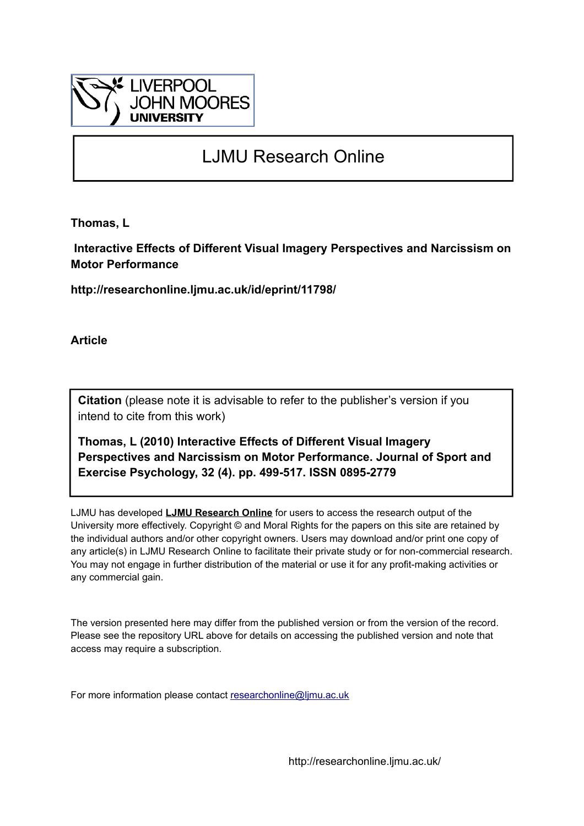

# LJMU Research Online

**Thomas, L**

 **Interactive Effects of Different Visual Imagery Perspectives and Narcissism on Motor Performance**

**http://researchonline.ljmu.ac.uk/id/eprint/11798/**

**Article**

**Citation** (please note it is advisable to refer to the publisher's version if you intend to cite from this work)

**Thomas, L (2010) Interactive Effects of Different Visual Imagery Perspectives and Narcissism on Motor Performance. Journal of Sport and Exercise Psychology, 32 (4). pp. 499-517. ISSN 0895-2779** 

LJMU has developed **[LJMU Research Online](http://researchonline.ljmu.ac.uk/)** for users to access the research output of the University more effectively. Copyright © and Moral Rights for the papers on this site are retained by the individual authors and/or other copyright owners. Users may download and/or print one copy of any article(s) in LJMU Research Online to facilitate their private study or for non-commercial research. You may not engage in further distribution of the material or use it for any profit-making activities or any commercial gain.

The version presented here may differ from the published version or from the version of the record. Please see the repository URL above for details on accessing the published version and note that access may require a subscription.

For more information please contact [researchonline@ljmu.ac.uk](mailto:researchonline@ljmu.ac.uk)

http://researchonline.ljmu.ac.uk/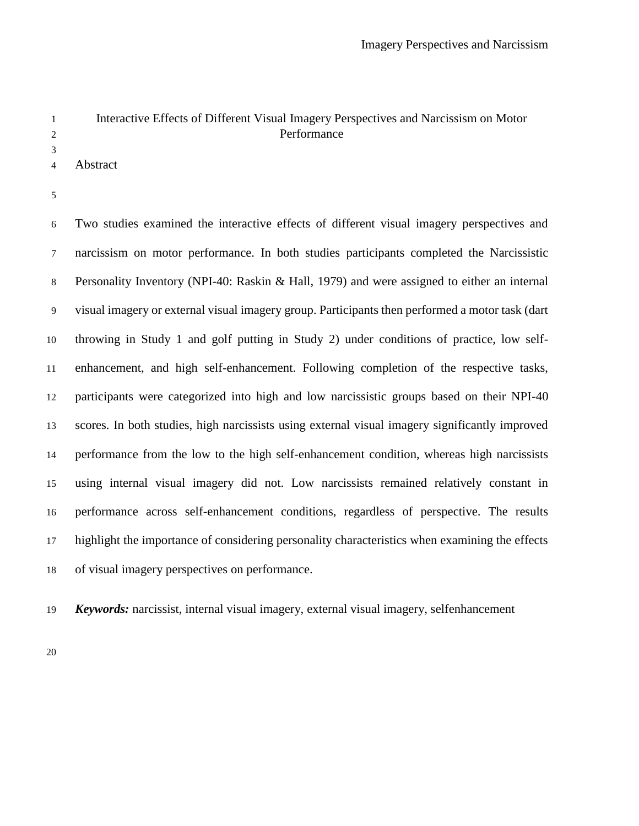## Interactive Effects of Different Visual Imagery Perspectives and Narcissism on Motor Performance

Abstract

 Two studies examined the interactive effects of different visual imagery perspectives and narcissism on motor performance. In both studies participants completed the Narcissistic Personality Inventory (NPI-40: Raskin & Hall, 1979) and were assigned to either an internal visual imagery or external visual imagery group. Participants then performed a motor task (dart throwing in Study 1 and golf putting in Study 2) under conditions of practice, low self- enhancement, and high self-enhancement. Following completion of the respective tasks, participants were categorized into high and low narcissistic groups based on their NPI-40 scores. In both studies, high narcissists using external visual imagery significantly improved performance from the low to the high self-enhancement condition, whereas high narcissists using internal visual imagery did not. Low narcissists remained relatively constant in performance across self-enhancement conditions, regardless of perspective. The results highlight the importance of considering personality characteristics when examining the effects of visual imagery perspectives on performance.

*Keywords:* narcissist, internal visual imagery, external visual imagery, selfenhancement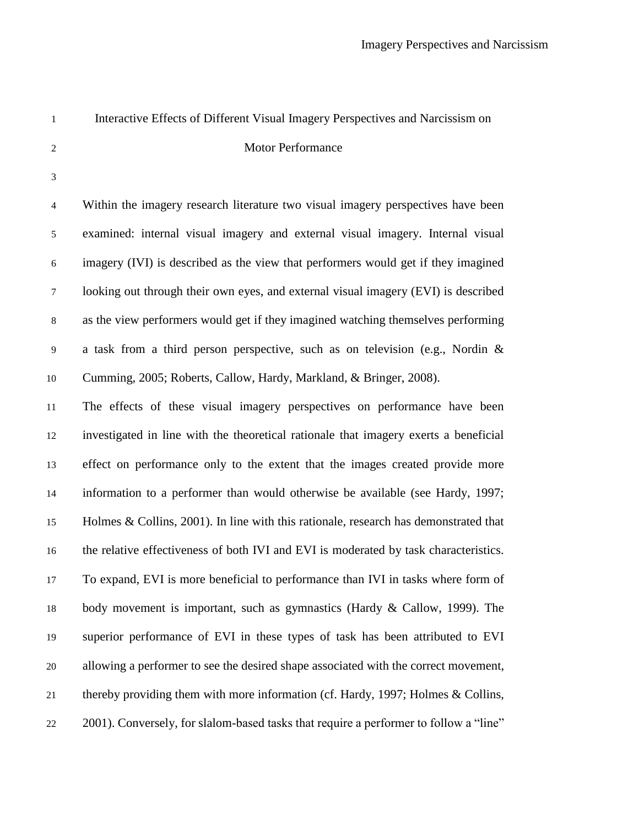| $\mathbf{1}$             | Interactive Effects of Different Visual Imagery Perspectives and Narcissism on         |
|--------------------------|----------------------------------------------------------------------------------------|
| $\overline{2}$           | Motor Performance                                                                      |
| 3                        |                                                                                        |
| $\overline{\mathcal{A}}$ | Within the imagery research literature two visual imagery perspectives have been       |
| 5                        | examined: internal visual imagery and external visual imagery. Internal visual         |
| $\sqrt{6}$               | imagery (IVI) is described as the view that performers would get if they imagined      |
| $\boldsymbol{7}$         | looking out through their own eyes, and external visual imagery (EVI) is described     |
| $\,8\,$                  | as the view performers would get if they imagined watching themselves performing       |
| 9                        | a task from a third person perspective, such as on television (e.g., Nordin $\&$       |
| 10                       | Cumming, 2005; Roberts, Callow, Hardy, Markland, & Bringer, 2008).                     |
| 11                       | The effects of these visual imagery perspectives on performance have been              |
| 12                       | investigated in line with the theoretical rationale that imagery exerts a beneficial   |
| 13                       | effect on performance only to the extent that the images created provide more          |
| 14                       | information to a performer than would otherwise be available (see Hardy, 1997;         |
| 15                       | Holmes $& Collins, 2001$ . In line with this rationale, research has demonstrated that |
| 16                       | the relative effectiveness of both IVI and EVI is moderated by task characteristics.   |
| 17                       | To expand, EVI is more beneficial to performance than IVI in tasks where form of       |
| 18                       | body movement is important, such as gymnastics (Hardy $\&$ Callow, 1999). The          |
| 19                       | superior performance of EVI in these types of task has been attributed to EVI          |
| $20\,$                   | allowing a performer to see the desired shape associated with the correct movement,    |
| 21                       | thereby providing them with more information (cf. Hardy, 1997; Holmes & Collins,       |
| 22                       | 2001). Conversely, for slalom-based tasks that require a performer to follow a "line"  |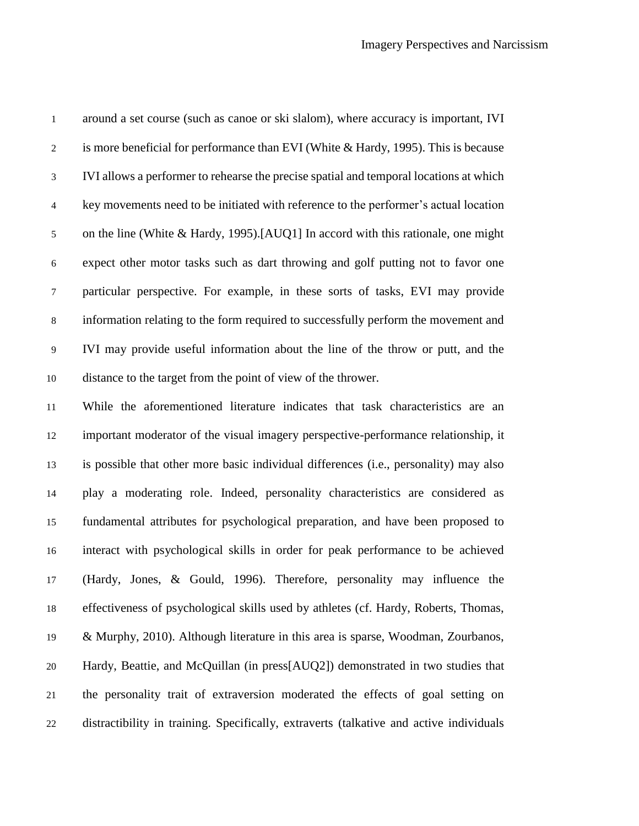| $\mathbf 1$    | around a set course (such as canoe or ski slalom), where accuracy is important, IVI     |
|----------------|-----------------------------------------------------------------------------------------|
| $\sqrt{2}$     | is more beneficial for performance than EVI (White $&$ Hardy, 1995). This is because    |
| $\mathfrak{Z}$ | IVI allows a performer to rehearse the precise spatial and temporal locations at which  |
| $\overline{4}$ | key movements need to be initiated with reference to the performer's actual location    |
| 5              | on the line (White & Hardy, 1995).[AUQ1] In accord with this rationale, one might       |
| $\sqrt{6}$     | expect other motor tasks such as dart throwing and golf putting not to favor one        |
| $\tau$         | particular perspective. For example, in these sorts of tasks, EVI may provide           |
| $8\,$          | information relating to the form required to successfully perform the movement and      |
| $\mathbf{9}$   | IVI may provide useful information about the line of the throw or putt, and the         |
| 10             | distance to the target from the point of view of the thrower.                           |
| 11             | While the aforementioned literature indicates that task characteristics are an          |
| 12             | important moderator of the visual imagery perspective-performance relationship, it      |
| 13             | is possible that other more basic individual differences (i.e., personality) may also   |
| 14             | play a moderating role. Indeed, personality characteristics are considered as           |
| 15             | fundamental attributes for psychological preparation, and have been proposed to         |
| 16             | interact with psychological skills in order for peak performance to be achieved         |
| 17             | (Hardy, Jones, & Gould, 1996). Therefore, personality may influence the                 |
| 18             | effectiveness of psychological skills used by athletes (cf. Hardy, Roberts, Thomas,     |
| 19             | & Murphy, 2010). Although literature in this area is sparse, Woodman, Zourbanos,        |
| $20\,$         | Hardy, Beattie, and McQuillan (in press[AUQ2]) demonstrated in two studies that         |
| 21             | the personality trait of extraversion moderated the effects of goal setting on          |
| 22             | distractibility in training. Specifically, extraverts (talkative and active individuals |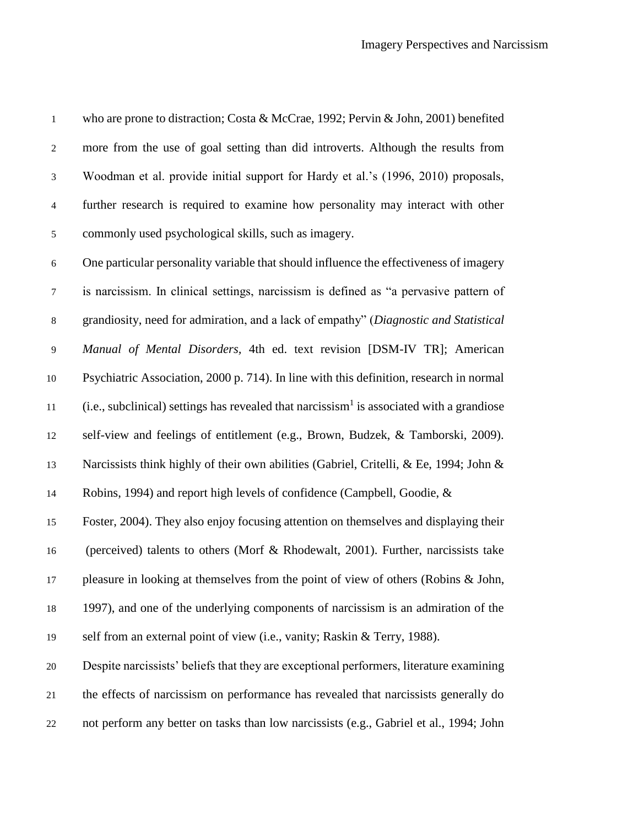who are prone to distraction; Costa & McCrae, 1992; Pervin & John, 2001) benefited more from the use of goal setting than did introverts. Although the results from Woodman et al. provide initial support for Hardy et al.'s (1996, 2010) proposals, further research is required to examine how personality may interact with other commonly used psychological skills, such as imagery. One particular personality variable that should influence the effectiveness of imagery is narcissism. In clinical settings, narcissism is defined as "a pervasive pattern of grandiosity, need for admiration, and a lack of empathy" (*Diagnostic and Statistical Manual of Mental Disorders,* 4th ed. text revision [DSM-IV TR]; American Psychiatric Association, 2000 p. 714). In line with this definition, research in normal 11 (i.e., subclinical) settings has revealed that narcissism<sup>1</sup> is associated with a grandiose self-view and feelings of entitlement (e.g., Brown, Budzek, & Tamborski, 2009). Narcissists think highly of their own abilities (Gabriel, Critelli, & Ee, 1994; John & Robins, 1994) and report high levels of confidence (Campbell, Goodie, & Foster, 2004). They also enjoy focusing attention on themselves and displaying their (perceived) talents to others (Morf & Rhodewalt, 2001). Further, narcissists take pleasure in looking at themselves from the point of view of others (Robins & John, 1997), and one of the underlying components of narcissism is an admiration of the self from an external point of view (i.e., vanity; Raskin & Terry, 1988). Despite narcissists' beliefs that they are exceptional performers, literature examining the effects of narcissism on performance has revealed that narcissists generally do not perform any better on tasks than low narcissists (e.g., Gabriel et al., 1994; John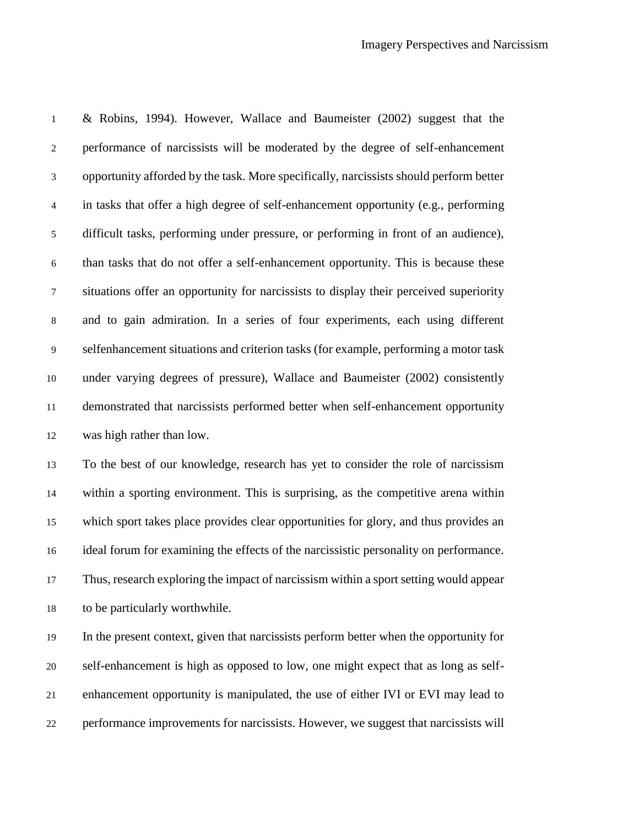& Robins, 1994). However, Wallace and Baumeister (2002) suggest that the performance of narcissists will be moderated by the degree of self-enhancement opportunity afforded by the task. More specifically, narcissists should perform better in tasks that offer a high degree of self-enhancement opportunity (e.g., performing difficult tasks, performing under pressure, or performing in front of an audience), than tasks that do not offer a self-enhancement opportunity. This is because these situations offer an opportunity for narcissists to display their perceived superiority and to gain admiration. In a series of four experiments, each using different selfenhancement situations and criterion tasks (for example, performing a motor task under varying degrees of pressure), Wallace and Baumeister (2002) consistently demonstrated that narcissists performed better when self-enhancement opportunity was high rather than low. To the best of our knowledge, research has yet to consider the role of narcissism

 within a sporting environment. This is surprising, as the competitive arena within which sport takes place provides clear opportunities for glory, and thus provides an ideal forum for examining the effects of the narcissistic personality on performance. Thus, research exploring the impact of narcissism within a sport setting would appear to be particularly worthwhile.

 In the present context, given that narcissists perform better when the opportunity for self-enhancement is high as opposed to low, one might expect that as long as self- enhancement opportunity is manipulated, the use of either IVI or EVI may lead to performance improvements for narcissists. However, we suggest that narcissists will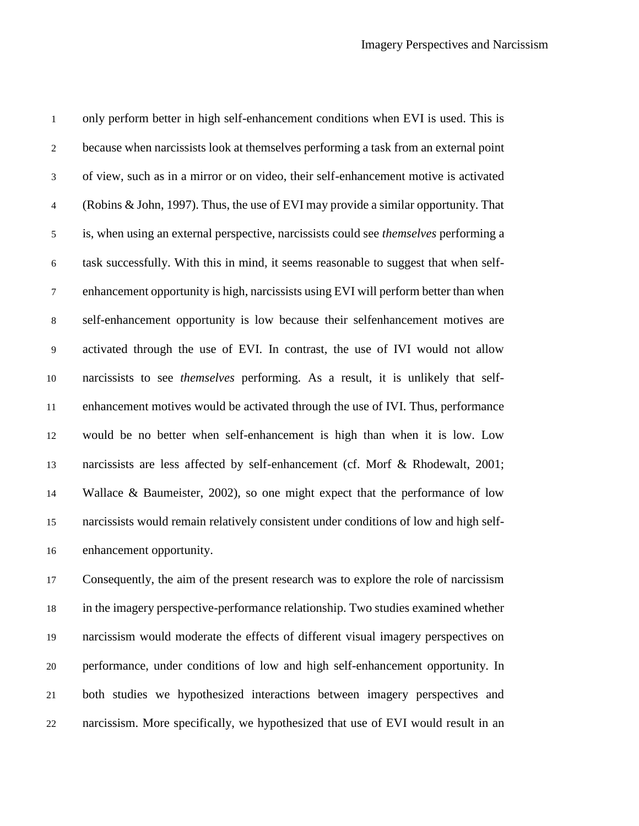only perform better in high self-enhancement conditions when EVI is used. This is because when narcissists look at themselves performing a task from an external point of view, such as in a mirror or on video, their self-enhancement motive is activated (Robins & John, 1997). Thus, the use of EVI may provide a similar opportunity. That is, when using an external perspective, narcissists could see *themselves* performing a task successfully. With this in mind, it seems reasonable to suggest that when self- enhancement opportunity is high, narcissists using EVI will perform better than when self-enhancement opportunity is low because their selfenhancement motives are activated through the use of EVI. In contrast, the use of IVI would not allow narcissists to see *themselves* performing. As a result, it is unlikely that self- enhancement motives would be activated through the use of IVI. Thus, performance would be no better when self-enhancement is high than when it is low. Low narcissists are less affected by self-enhancement (cf. Morf & Rhodewalt, 2001; Wallace & Baumeister, 2002), so one might expect that the performance of low narcissists would remain relatively consistent under conditions of low and high self-enhancement opportunity.

 Consequently, the aim of the present research was to explore the role of narcissism in the imagery perspective-performance relationship. Two studies examined whether narcissism would moderate the effects of different visual imagery perspectives on performance, under conditions of low and high self-enhancement opportunity. In both studies we hypothesized interactions between imagery perspectives and narcissism. More specifically, we hypothesized that use of EVI would result in an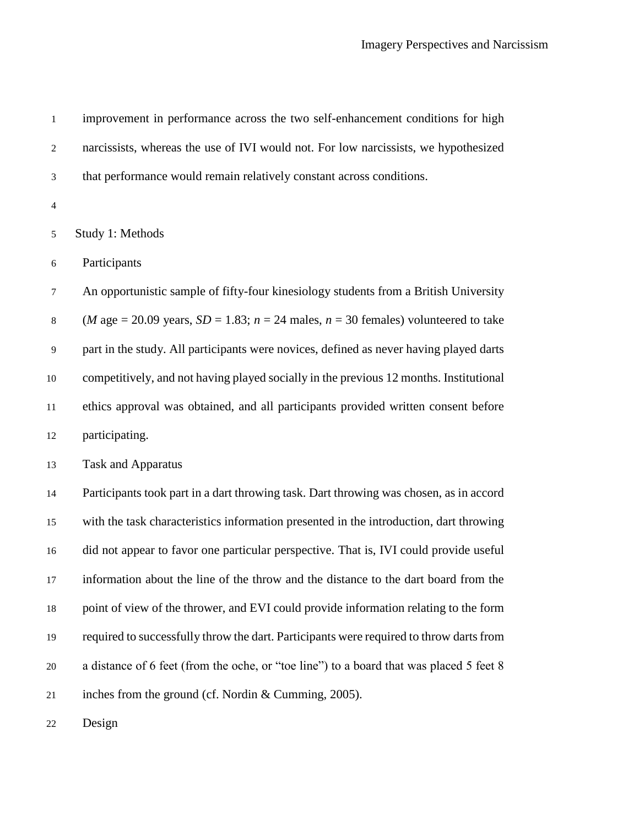| $\,1\,$        | improvement in performance across the two self-enhancement conditions for high                    |
|----------------|---------------------------------------------------------------------------------------------------|
| $\overline{2}$ | narcissists, whereas the use of IVI would not. For low narcissists, we hypothesized               |
| 3              | that performance would remain relatively constant across conditions.                              |
| $\overline{4}$ |                                                                                                   |
| 5              | Study 1: Methods                                                                                  |
| $\sqrt{6}$     | Participants                                                                                      |
| $\tau$         | An opportunistic sample of fifty-four kinesiology students from a British University              |
| $\,8\,$        | ( <i>M</i> age = 20.09 years, $SD = 1.83$ ; $n = 24$ males, $n = 30$ females) volunteered to take |
| $\overline{9}$ | part in the study. All participants were novices, defined as never having played darts            |
| 10             | competitively, and not having played socially in the previous 12 months. Institutional            |
| 11             | ethics approval was obtained, and all participants provided written consent before                |
| 12             | participating.                                                                                    |
| 13             | <b>Task and Apparatus</b>                                                                         |
| 14             | Participants took part in a dart throwing task. Dart throwing was chosen, as in accord            |
| 15             | with the task characteristics information presented in the introduction, dart throwing            |
| 16             | did not appear to favor one particular perspective. That is, IVI could provide useful             |
| 17             | information about the line of the throw and the distance to the dart board from the               |
| 18             | point of view of the thrower, and EVI could provide information relating to the form              |
| 19             | required to successfully throw the dart. Participants were required to throw darts from           |
| $20\,$         | a distance of 6 feet (from the oche, or "toe line") to a board that was placed 5 feet 8           |
| 21             | inches from the ground (cf. Nordin & Cumming, 2005).                                              |
| 22             | Design                                                                                            |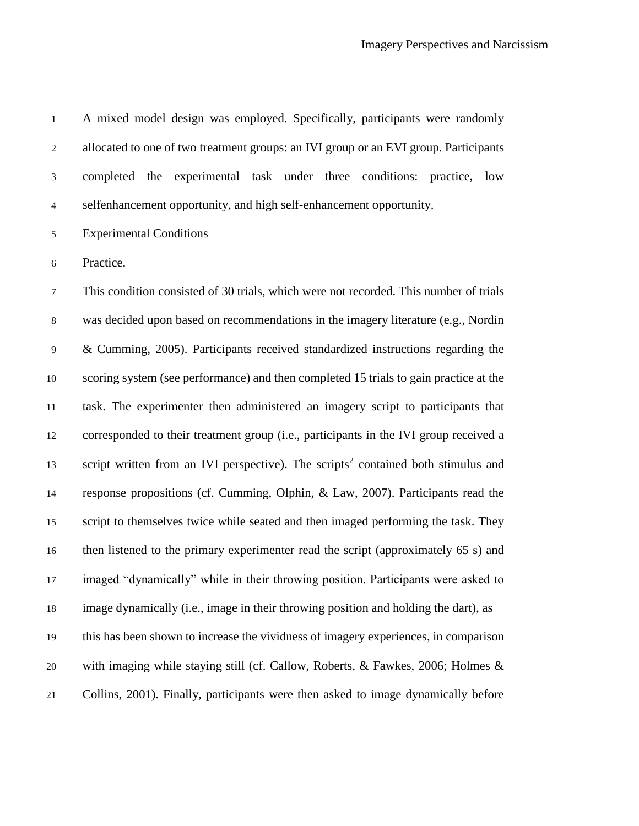A mixed model design was employed. Specifically, participants were randomly allocated to one of two treatment groups: an IVI group or an EVI group. Participants completed the experimental task under three conditions: practice, low selfenhancement opportunity, and high self-enhancement opportunity.

Experimental Conditions

Practice.

 This condition consisted of 30 trials, which were not recorded. This number of trials was decided upon based on recommendations in the imagery literature (e.g., Nordin & Cumming, 2005). Participants received standardized instructions regarding the scoring system (see performance) and then completed 15 trials to gain practice at the task. The experimenter then administered an imagery script to participants that corresponded to their treatment group (i.e., participants in the IVI group received a 13 script written from an IVI perspective). The scripts<sup>2</sup> contained both stimulus and response propositions (cf. Cumming, Olphin, & Law, 2007). Participants read the 15 script to themselves twice while seated and then imaged performing the task. They then listened to the primary experimenter read the script (approximately 65 s) and imaged "dynamically" while in their throwing position. Participants were asked to image dynamically (i.e., image in their throwing position and holding the dart), as this has been shown to increase the vividness of imagery experiences, in comparison with imaging while staying still (cf. Callow, Roberts, & Fawkes, 2006; Holmes & Collins, 2001). Finally, participants were then asked to image dynamically before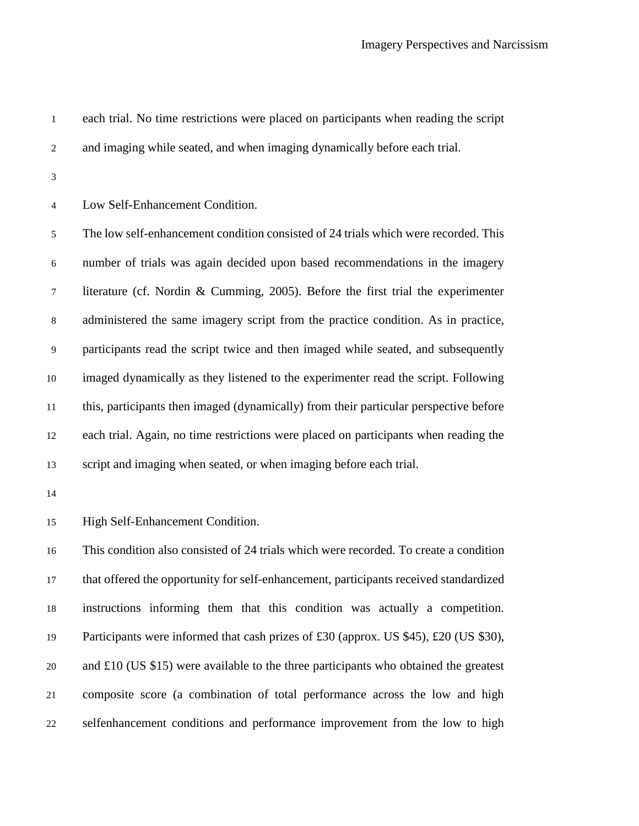each trial. No time restrictions were placed on participants when reading the script

- and imaging while seated, and when imaging dynamically before each trial.
- 

Low Self-Enhancement Condition.

 The low self-enhancement condition consisted of 24 trials which were recorded. This number of trials was again decided upon based recommendations in the imagery literature (cf. Nordin & Cumming, 2005). Before the first trial the experimenter administered the same imagery script from the practice condition. As in practice, participants read the script twice and then imaged while seated, and subsequently imaged dynamically as they listened to the experimenter read the script. Following this, participants then imaged (dynamically) from their particular perspective before each trial. Again, no time restrictions were placed on participants when reading the script and imaging when seated, or when imaging before each trial.

High Self-Enhancement Condition.

 This condition also consisted of 24 trials which were recorded. To create a condition that offered the opportunity for self-enhancement, participants received standardized instructions informing them that this condition was actually a competition. 19 Participants were informed that cash prizes of £30 (approx. US \$45), £20 (US \$30), and £10 (US \$15) were available to the three participants who obtained the greatest composite score (a combination of total performance across the low and high selfenhancement conditions and performance improvement from the low to high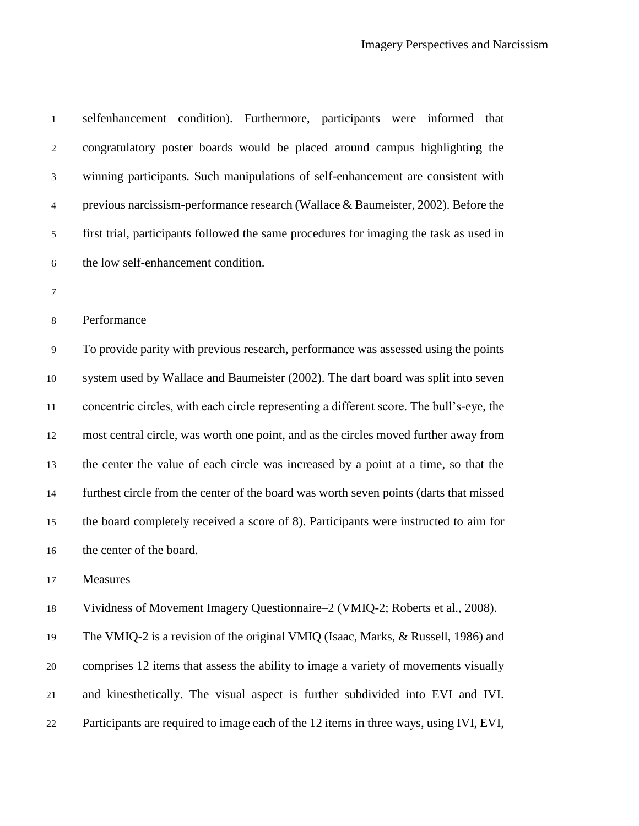| $\,1\,$          | selfenhancement condition). Furthermore, participants were informed that                 |
|------------------|------------------------------------------------------------------------------------------|
| $\overline{c}$   | congratulatory poster boards would be placed around campus highlighting the              |
| 3                | winning participants. Such manipulations of self-enhancement are consistent with         |
| $\overline{4}$   | previous narcissism-performance research (Wallace & Baumeister, 2002). Before the        |
| 5                | first trial, participants followed the same procedures for imaging the task as used in   |
| $\boldsymbol{6}$ | the low self-enhancement condition.                                                      |
| $\tau$           |                                                                                          |
| $8\,$            | Performance                                                                              |
| 9                | To provide parity with previous research, performance was assessed using the points      |
| 10               | system used by Wallace and Baumeister (2002). The dart board was split into seven        |
| 11               | concentric circles, with each circle representing a different score. The bull's-eye, the |
| 12               | most central circle, was worth one point, and as the circles moved further away from     |
| 13               | the center the value of each circle was increased by a point at a time, so that the      |
| 14               | furthest circle from the center of the board was worth seven points (darts that missed   |
| 15               | the board completely received a score of 8). Participants were instructed to aim for     |
| 16               | the center of the board.                                                                 |
| 17               | <b>Measures</b>                                                                          |
| 18               | Vividness of Movement Imagery Questionnaire–2 (VMIQ-2; Roberts et al., 2008).            |
| 19               | The VMIQ-2 is a revision of the original VMIQ (Isaac, Marks, & Russell, 1986) and        |
| 20               | comprises 12 items that assess the ability to image a variety of movements visually      |
| 21               | and kinesthetically. The visual aspect is further subdivided into EVI and IVI.           |

Participants are required to image each of the 12 items in three ways, using IVI, EVI,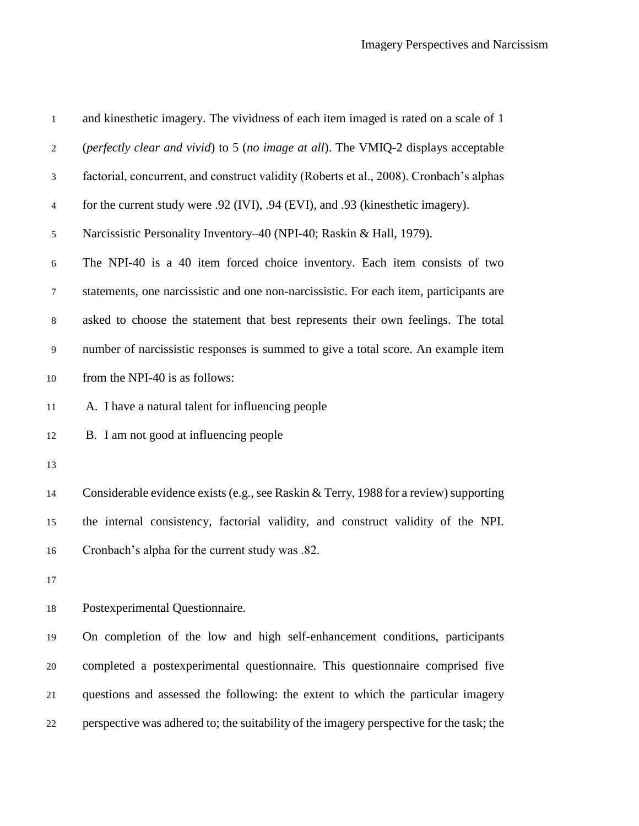| $\mathbf{1}$   | and kinesthetic imagery. The vividness of each item imaged is rated on a scale of 1      |
|----------------|------------------------------------------------------------------------------------------|
| $\overline{2}$ | (perfectly clear and vivid) to 5 (no image at all). The VMIQ-2 displays acceptable       |
| 3              | factorial, concurrent, and construct validity (Roberts et al., 2008). Cronbach's alphas  |
| $\overline{4}$ | for the current study were .92 (IVI), .94 (EVI), and .93 (kinesthetic imagery).          |
| 5              | Narcissistic Personality Inventory-40 (NPI-40; Raskin & Hall, 1979).                     |
| 6              | The NPI-40 is a 40 item forced choice inventory. Each item consists of two               |
| $\tau$         | statements, one narcissistic and one non-narcissistic. For each item, participants are   |
| 8              | asked to choose the statement that best represents their own feelings. The total         |
| 9              | number of narcissistic responses is summed to give a total score. An example item        |
| 10             | from the NPI-40 is as follows:                                                           |
| 11             | A. I have a natural talent for influencing people                                        |
| 12             | B. I am not good at influencing people                                                   |
| 13             |                                                                                          |
| 14             | Considerable evidence exists (e.g., see Raskin & Terry, 1988 for a review) supporting    |
| 15             | the internal consistency, factorial validity, and construct validity of the NPI.         |
| 16             | Cronbach's alpha for the current study was .82.                                          |
| 17             |                                                                                          |
| 18             | Postexperimental Questionnaire.                                                          |
| 19             | On completion of the low and high self-enhancement conditions, participants              |
| 20             | completed a postexperimental questionnaire. This questionnaire comprised five            |
| 21             | questions and assessed the following: the extent to which the particular imagery         |
| 22             | perspective was adhered to; the suitability of the imagery perspective for the task; the |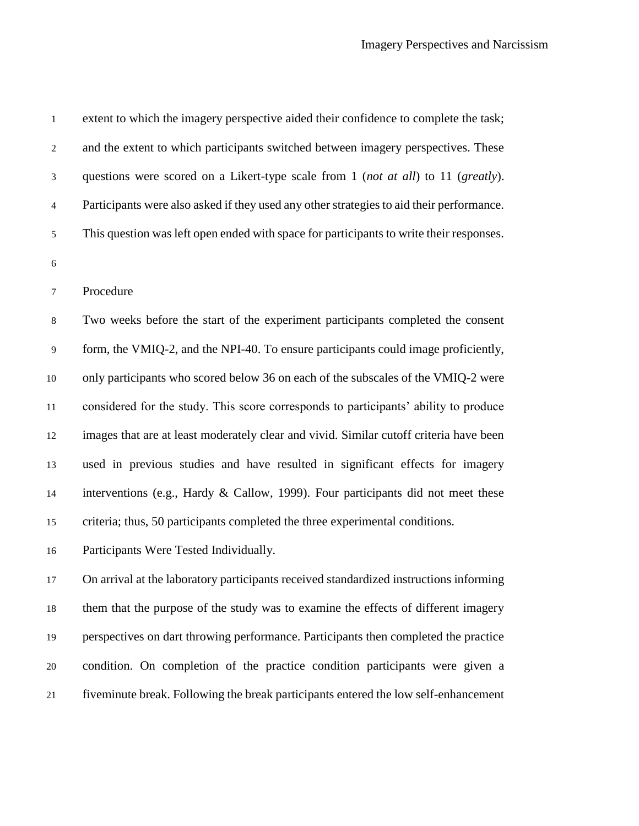| $\mathbf{1}$   | extent to which the imagery perspective aided their confidence to complete the task;     |
|----------------|------------------------------------------------------------------------------------------|
| $\mathbf{2}$   | and the extent to which participants switched between imagery perspectives. These        |
| 3              | questions were scored on a Likert-type scale from 1 (not at all) to 11 (greatly).        |
| $\overline{4}$ | Participants were also asked if they used any other strategies to aid their performance. |
| $\sqrt{5}$     | This question was left open ended with space for participants to write their responses.  |
| $\sqrt{6}$     |                                                                                          |
| $\tau$         | Procedure                                                                                |
| $\,8\,$        | Two weeks before the start of the experiment participants completed the consent          |
| 9              | form, the VMIQ-2, and the NPI-40. To ensure participants could image proficiently,       |
| $10\,$         | only participants who scored below 36 on each of the subscales of the VMIQ-2 were        |
| 11             | considered for the study. This score corresponds to participants' ability to produce     |
| 12             | images that are at least moderately clear and vivid. Similar cutoff criteria have been   |
| 13             | used in previous studies and have resulted in significant effects for imagery            |
| 14             | interventions (e.g., Hardy & Callow, 1999). Four participants did not meet these         |
| 15             | criteria; thus, 50 participants completed the three experimental conditions.             |
| 16             | Participants Were Tested Individually.                                                   |
| 17             | On arrival at the laboratory participants received standardized instructions informing   |
| 18             | them that the purpose of the study was to examine the effects of different imagery       |
| 19             | perspectives on dart throwing performance. Participants then completed the practice      |
| 20             | condition. On completion of the practice condition participants were given a             |

fiveminute break. Following the break participants entered the low self-enhancement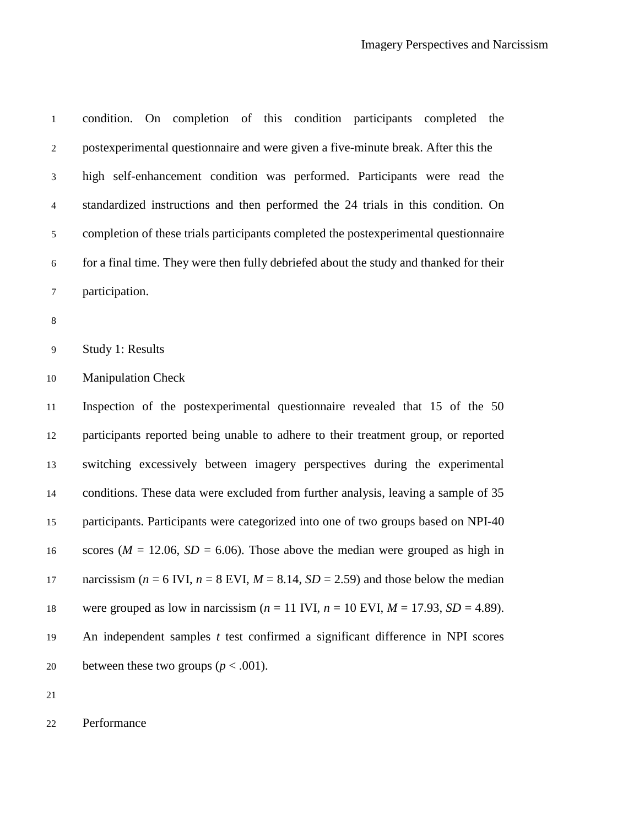| $\mathbf 1$    | condition. On completion of this condition participants completed the                        |
|----------------|----------------------------------------------------------------------------------------------|
| $\overline{c}$ | postexperimental questionnaire and were given a five-minute break. After this the            |
| 3              | high self-enhancement condition was performed. Participants were read the                    |
| $\overline{4}$ | standardized instructions and then performed the 24 trials in this condition. On             |
| 5              | completion of these trials participants completed the postexperimental questionnaire         |
| $\sqrt{6}$     | for a final time. They were then fully debriefed about the study and thanked for their       |
| $\tau$         | participation.                                                                               |
| $\,8\,$        |                                                                                              |
| $\mathbf{9}$   | Study 1: Results                                                                             |
| 10             | <b>Manipulation Check</b>                                                                    |
| $11\,$         | Inspection of the postexperimental questionnaire revealed that 15 of the 50                  |
| 12             | participants reported being unable to adhere to their treatment group, or reported           |
| 13             | switching excessively between imagery perspectives during the experimental                   |
| 14             | conditions. These data were excluded from further analysis, leaving a sample of 35           |
| 15             | participants. Participants were categorized into one of two groups based on NPI-40           |
| 16             | scores ( $M = 12.06$ , $SD = 6.06$ ). Those above the median were grouped as high in         |
| 17             | narcissism ( $n = 6$ IVI, $n = 8$ EVI, $M = 8.14$ , $SD = 2.59$ ) and those below the median |
| 18             | were grouped as low in narcissism ( $n = 11$ IVI, $n = 10$ EVI, $M = 17.93$ , $SD = 4.89$ ). |
| 19             | An independent samples $t$ test confirmed a significant difference in NPI scores             |
| 20             | between these two groups ( $p < .001$ ).                                                     |

Performance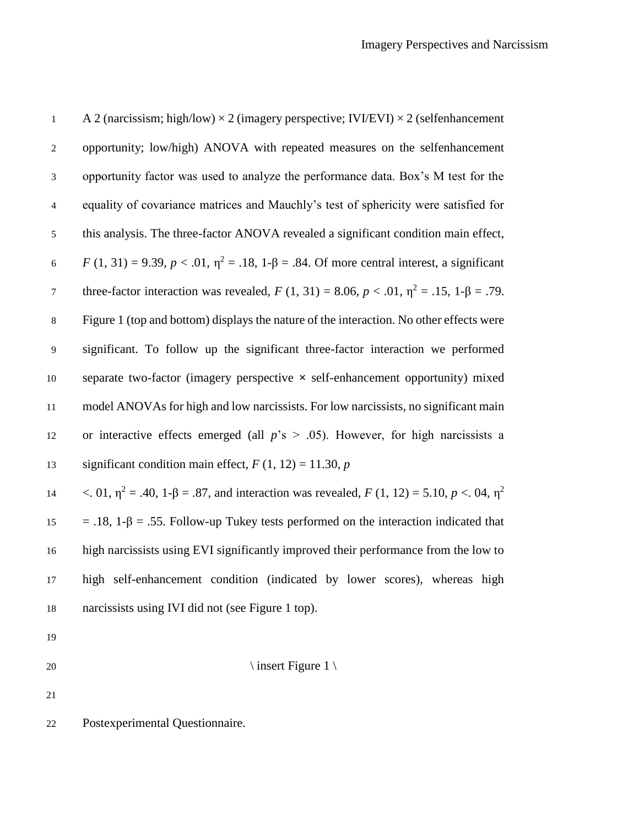| $\mathbf{1}$     | A 2 (narcissism; high/low) $\times$ 2 (imagery perspective; IVI/EVI) $\times$ 2 (selfenhancement          |
|------------------|-----------------------------------------------------------------------------------------------------------|
| $\overline{2}$   | opportunity; low/high) ANOVA with repeated measures on the selfenhancement                                |
| $\mathfrak{Z}$   | opportunity factor was used to analyze the performance data. Box's M test for the                         |
| $\overline{4}$   | equality of covariance matrices and Mauchly's test of sphericity were satisfied for                       |
| $\mathfrak{S}$   | this analysis. The three-factor ANOVA revealed a significant condition main effect,                       |
| $\boldsymbol{6}$ | F (1, 31) = 9.39, p < .01, η <sup>2</sup> = .18, 1-β = .84. Of more central interest, a significant       |
| $\boldsymbol{7}$ | three-factor interaction was revealed, $F(1, 31) = 8.06$ , $p < .01$ , $\eta^2 = .15$ , $1-\beta = .79$ . |
| $8\,$            | Figure 1 (top and bottom) displays the nature of the interaction. No other effects were                   |
| $\overline{9}$   | significant. To follow up the significant three-factor interaction we performed                           |
| $10\,$           | separate two-factor (imagery perspective x self-enhancement opportunity) mixed                            |
| 11               | model ANOVAs for high and low narcissists. For low narcissists, no significant main                       |
| 12               | or interactive effects emerged (all $p$ 's > .05). However, for high narcissists a                        |
| 13               | significant condition main effect, $F(1, 12) = 11.30$ , $p$                                               |
| 14               | <. 01, $η^2$ = .40, 1-β = .87, and interaction was revealed, $F(1, 12)$ = 5.10, $p < 04$ , $η^2$          |
| 15               | $=$ .18, 1- $\beta$ = .55. Follow-up Tukey tests performed on the interaction indicated that              |
| 16               | high narcissists using EVI significantly improved their performance from the low to                       |
| 17               | high self-enhancement condition (indicated by lower scores), whereas high                                 |
| $18\,$           | narcissists using IVI did not (see Figure 1 top).                                                         |
| 19               |                                                                                                           |
| 20               | \ insert Figure 1 \                                                                                       |
| 21               |                                                                                                           |
| 22               | Postexperimental Questionnaire.                                                                           |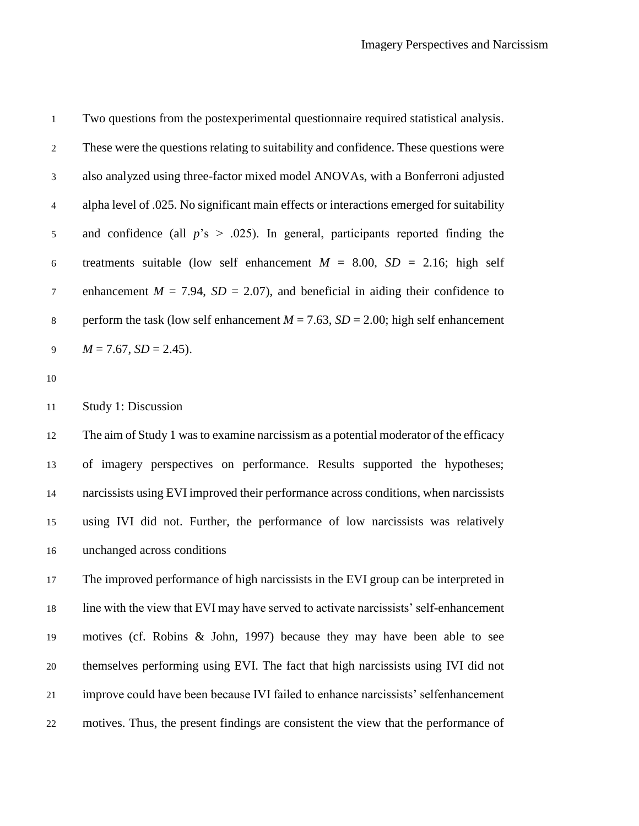Two questions from the postexperimental questionnaire required statistical analysis. These were the questions relating to suitability and confidence. These questions were also analyzed using three-factor mixed model ANOVAs, with a Bonferroni adjusted alpha level of .025. No significant main effects or interactions emerged for suitability and confidence (all *p*'s > .025). In general, participants reported finding the 6 treatments suitable (low self enhancement  $M = 8.00$ ,  $SD = 2.16$ ; high self 7 enhancement  $M = 7.94$ ,  $SD = 2.07$ ), and beneficial in aiding their confidence to 8 perform the task (low self enhancement  $M = 7.63$ ,  $SD = 2.00$ ; high self enhancement  $M = 7.67$ ,  $SD = 2.45$ ).

#### Study 1: Discussion

 The aim of Study 1 was to examine narcissism as a potential moderator of the efficacy of imagery perspectives on performance. Results supported the hypotheses; narcissists using EVI improved their performance across conditions, when narcissists using IVI did not. Further, the performance of low narcissists was relatively unchanged across conditions

 The improved performance of high narcissists in the EVI group can be interpreted in line with the view that EVI may have served to activate narcissists' self-enhancement motives (cf. Robins & John, 1997) because they may have been able to see themselves performing using EVI. The fact that high narcissists using IVI did not improve could have been because IVI failed to enhance narcissists' selfenhancement motives. Thus, the present findings are consistent the view that the performance of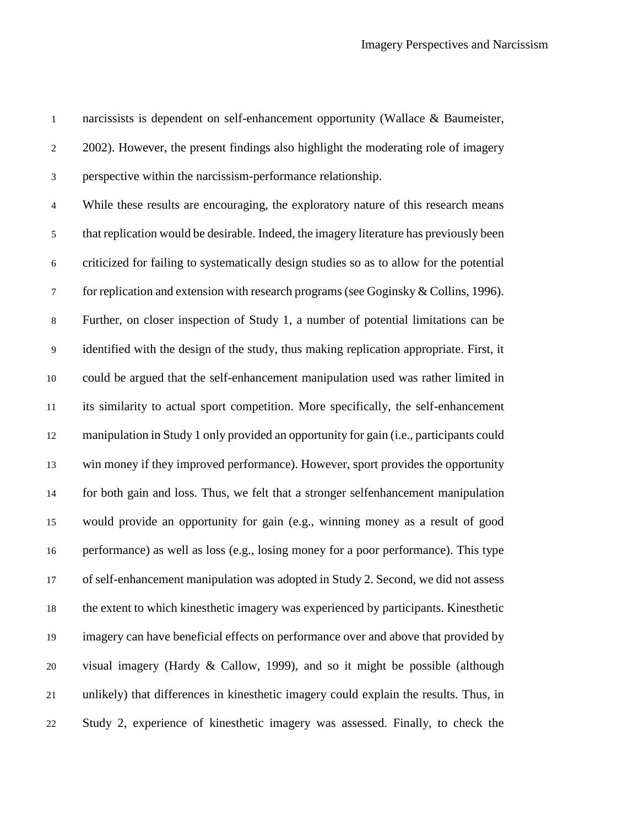narcissists is dependent on self-enhancement opportunity (Wallace & Baumeister, 2002). However, the present findings also highlight the moderating role of imagery perspective within the narcissism-performance relationship. While these results are encouraging, the exploratory nature of this research means that replication would be desirable. Indeed, the imagery literature has previously been criticized for failing to systematically design studies so as to allow for the potential for replication and extension with research programs (see Goginsky & Collins, 1996). Further, on closer inspection of Study 1, a number of potential limitations can be identified with the design of the study, thus making replication appropriate. First, it could be argued that the self-enhancement manipulation used was rather limited in its similarity to actual sport competition. More specifically, the self-enhancement manipulation in Study 1 only provided an opportunity for gain (i.e., participants could win money if they improved performance). However, sport provides the opportunity for both gain and loss. Thus, we felt that a stronger selfenhancement manipulation would provide an opportunity for gain (e.g., winning money as a result of good performance) as well as loss (e.g., losing money for a poor performance). This type of self-enhancement manipulation was adopted in Study 2. Second, we did not assess the extent to which kinesthetic imagery was experienced by participants. Kinesthetic imagery can have beneficial effects on performance over and above that provided by visual imagery (Hardy & Callow, 1999), and so it might be possible (although unlikely) that differences in kinesthetic imagery could explain the results. Thus, in Study 2, experience of kinesthetic imagery was assessed. Finally, to check the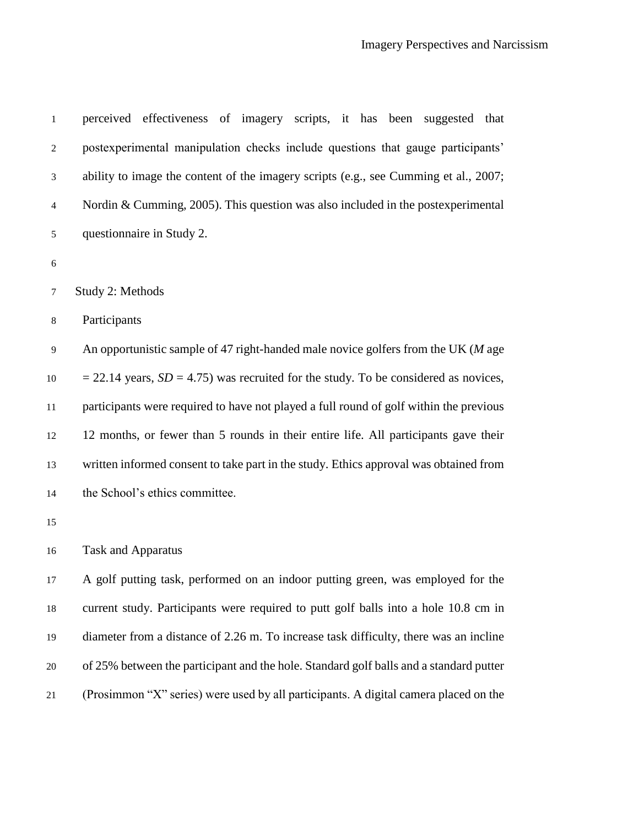| $\mathbf 1$    | perceived effectiveness of imagery scripts, it has been suggested that                   |
|----------------|------------------------------------------------------------------------------------------|
| $\mathfrak{2}$ | postexperimental manipulation checks include questions that gauge participants'          |
| 3              | ability to image the content of the imagery scripts (e.g., see Cumming et al., 2007;     |
| $\overline{4}$ | Nordin & Cumming, 2005). This question was also included in the postexperimental         |
| $\sqrt{5}$     | questionnaire in Study 2.                                                                |
| 6              |                                                                                          |
| 7              | Study 2: Methods                                                                         |
| $\,8\,$        | Participants                                                                             |
| 9              | An opportunistic sample of 47 right-handed male novice golfers from the UK $(M$ age      |
| 10             | $= 22.14$ years, $SD = 4.75$ ) was recruited for the study. To be considered as novices, |
| 11             | participants were required to have not played a full round of golf within the previous   |
| 12             | 12 months, or fewer than 5 rounds in their entire life. All participants gave their      |
| 13             | written informed consent to take part in the study. Ethics approval was obtained from    |
| 14             | the School's ethics committee.                                                           |
| 15             |                                                                                          |
| 16             | <b>Task and Apparatus</b>                                                                |
| 17             | A golf putting task, performed on an indoor putting green, was employed for the          |
| 18             | current study. Participants were required to putt golf balls into a hole 10.8 cm in      |
| 19             | diameter from a distance of 2.26 m. To increase task difficulty, there was an incline    |
| 20             | of 25% between the participant and the hole. Standard golf balls and a standard putter   |
| 21             | (Prosimmon "X" series) were used by all participants. A digital camera placed on the     |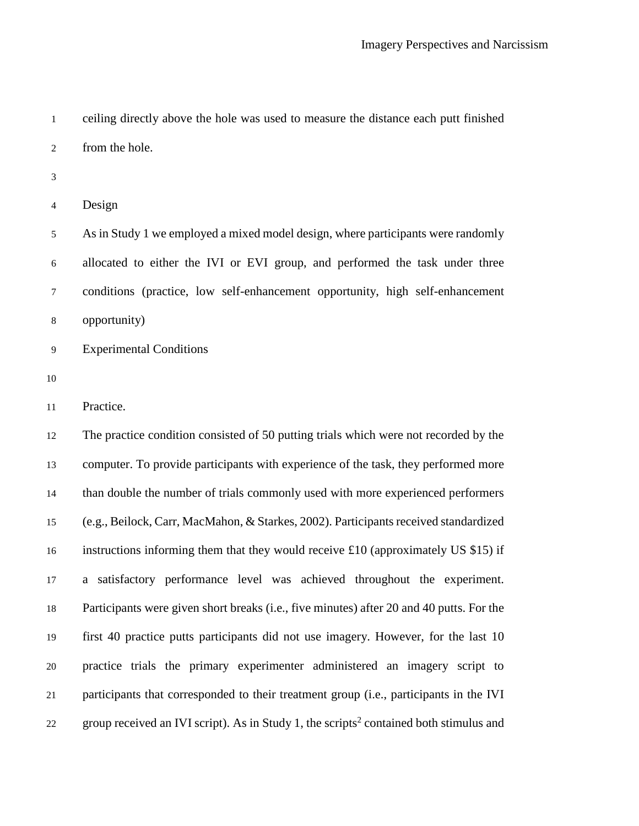ceiling directly above the hole was used to measure the distance each putt finished from the hole.

Design

 As in Study 1 we employed a mixed model design, where participants were randomly allocated to either the IVI or EVI group, and performed the task under three conditions (practice, low self-enhancement opportunity, high self-enhancement opportunity)

Experimental Conditions

Practice.

 The practice condition consisted of 50 putting trials which were not recorded by the computer. To provide participants with experience of the task, they performed more than double the number of trials commonly used with more experienced performers (e.g., Beilock, Carr, MacMahon, & Starkes, 2002). Participants received standardized instructions informing them that they would receive £10 (approximately US \$15) if a satisfactory performance level was achieved throughout the experiment. Participants were given short breaks (i.e., five minutes) after 20 and 40 putts. For the first 40 practice putts participants did not use imagery. However, for the last 10 practice trials the primary experimenter administered an imagery script to participants that corresponded to their treatment group (i.e., participants in the IVI 22 group received an IVI script). As in Study 1, the scripts<sup>2</sup> contained both stimulus and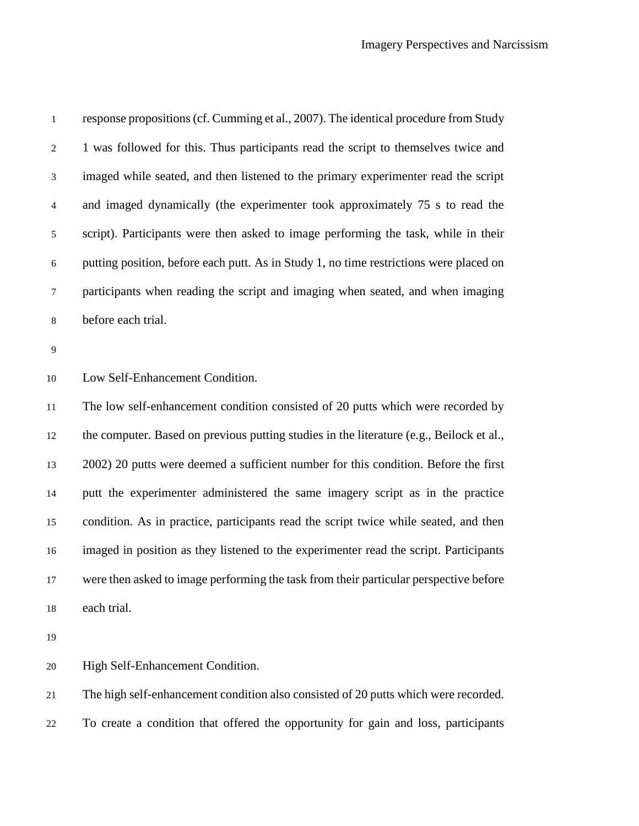| $\mathbf{1}$   | response propositions (cf. Cumming et al., 2007). The identical procedure from Study     |
|----------------|------------------------------------------------------------------------------------------|
| $\overline{c}$ | 1 was followed for this. Thus participants read the script to themselves twice and       |
| 3              | imaged while seated, and then listened to the primary experimenter read the script       |
| $\overline{4}$ | and imaged dynamically (the experimenter took approximately 75 s to read the             |
| 5              | script). Participants were then asked to image performing the task, while in their       |
| 6              | putting position, before each putt. As in Study 1, no time restrictions were placed on   |
| $\tau$         | participants when reading the script and imaging when seated, and when imaging           |
| $\,8\,$        | before each trial.                                                                       |
| 9              |                                                                                          |
| 10             | Low Self-Enhancement Condition.                                                          |
| 11             | The low self-enhancement condition consisted of 20 putts which were recorded by          |
| 12             | the computer. Based on previous putting studies in the literature (e.g., Beilock et al., |
| 13             | 2002) 20 putts were deemed a sufficient number for this condition. Before the first      |
| 14             | putt the experimenter administered the same imagery script as in the practice            |
| 15             | condition. As in practice, participants read the script twice while seated, and then     |
| 16             | imaged in position as they listened to the experimenter read the script. Participants    |
| 17             | were then asked to image performing the task from their particular perspective before    |
| 18             | each trial.                                                                              |
| 19             |                                                                                          |
| 20             | High Self-Enhancement Condition.                                                         |
| 21             | The high self-enhancement condition also consisted of 20 putts which were recorded.      |
| 22             | To create a condition that offered the opportunity for gain and loss, participants       |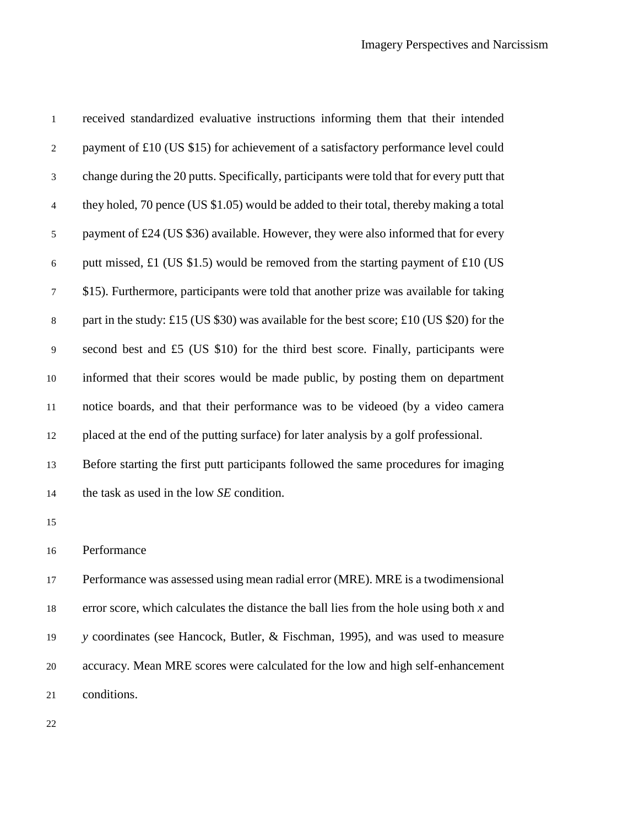| $\mathbf{1}$   | received standardized evaluative instructions informing them that their intended          |
|----------------|-------------------------------------------------------------------------------------------|
| $\overline{c}$ | payment of £10 (US \$15) for achievement of a satisfactory performance level could        |
| 3              | change during the 20 putts. Specifically, participants were told that for every putt that |
| $\overline{4}$ | they holed, 70 pence (US \$1.05) would be added to their total, thereby making a total    |
| $\mathfrak s$  | payment of £24 (US \$36) available. However, they were also informed that for every       |
| 6              | putt missed, £1 (US \$1.5) would be removed from the starting payment of £10 (US          |
| $\tau$         | \$15). Furthermore, participants were told that another prize was available for taking    |
| $\,8\,$        | part in the study: £15 (US \$30) was available for the best score; £10 (US \$20) for the  |
| $\mathbf{9}$   | second best and £5 (US \$10) for the third best score. Finally, participants were         |
| 10             | informed that their scores would be made public, by posting them on department            |
| 11             | notice boards, and that their performance was to be videoed (by a video camera            |
| 12             | placed at the end of the putting surface) for later analysis by a golf professional.      |
| 13             | Before starting the first putt participants followed the same procedures for imaging      |
| 14             | the task as used in the low SE condition.                                                 |
| 15             |                                                                                           |
| 16             | Performance                                                                               |
| 17             | Performance was assessed using mean radial error (MRE). MRE is a two dimensional          |
| 18             | error score, which calculates the distance the ball lies from the hole using both $x$ and |
| 19             | y coordinates (see Hancock, Butler, & Fischman, 1995), and was used to measure            |
| $20\,$         | accuracy. Mean MRE scores were calculated for the low and high self-enhancement           |
| 21             | conditions.                                                                               |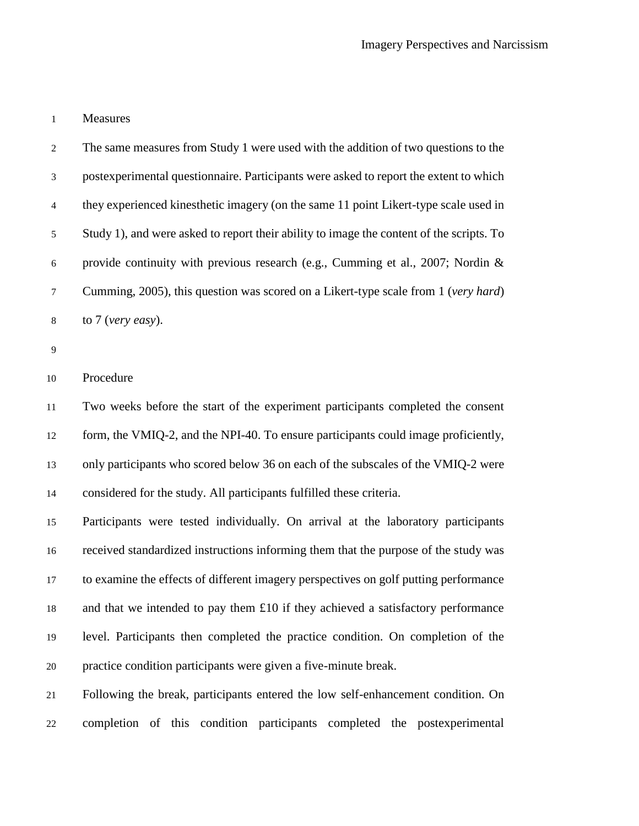#### Measures

 The same measures from Study 1 were used with the addition of two questions to the postexperimental questionnaire. Participants were asked to report the extent to which they experienced kinesthetic imagery (on the same 11 point Likert-type scale used in Study 1), and were asked to report their ability to image the content of the scripts. To provide continuity with previous research (e.g., Cumming et al., 2007; Nordin & Cumming, 2005), this question was scored on a Likert-type scale from 1 (*very hard*) to 7 (*very easy*).

### Procedure

 Two weeks before the start of the experiment participants completed the consent form, the VMIQ-2, and the NPI-40. To ensure participants could image proficiently, only participants who scored below 36 on each of the subscales of the VMIQ-2 were considered for the study. All participants fulfilled these criteria.

 Participants were tested individually. On arrival at the laboratory participants received standardized instructions informing them that the purpose of the study was to examine the effects of different imagery perspectives on golf putting performance and that we intended to pay them £10 if they achieved a satisfactory performance level. Participants then completed the practice condition. On completion of the practice condition participants were given a five-minute break.

 Following the break, participants entered the low self-enhancement condition. On completion of this condition participants completed the postexperimental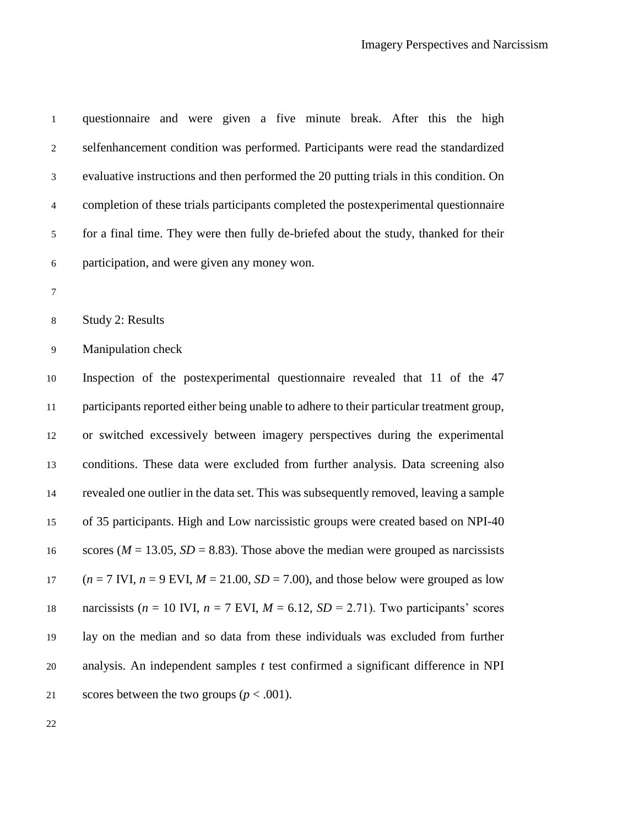| $\mathbf{1}$   | questionnaire and were given a five minute break. After this the high                                |
|----------------|------------------------------------------------------------------------------------------------------|
| $\overline{c}$ | selfenhancement condition was performed. Participants were read the standardized                     |
| 3              | evaluative instructions and then performed the 20 putting trials in this condition. On               |
| $\overline{4}$ | completion of these trials participants completed the postexperimental questionnaire                 |
| 5              | for a final time. They were then fully de-briefed about the study, thanked for their                 |
| $\sqrt{6}$     | participation, and were given any money won.                                                         |
| $\tau$         |                                                                                                      |
| $\,8\,$        | Study 2: Results                                                                                     |
| $\mathbf{9}$   | Manipulation check                                                                                   |
| 10             | Inspection of the postexperimental questionnaire revealed that 11 of the 47                          |
| 11             | participants reported either being unable to adhere to their particular treatment group,             |
| 12             | or switched excessively between imagery perspectives during the experimental                         |
| 13             | conditions. These data were excluded from further analysis. Data screening also                      |
| 14             | revealed one outlier in the data set. This was subsequently removed, leaving a sample                |
| 15             | of 35 participants. High and Low narcissistic groups were created based on NPI-40                    |
| 16             | scores ( $M = 13.05$ , $SD = 8.83$ ). Those above the median were grouped as narcissists             |
| 17             | $(n = 7 \text{ IVI}, n = 9 \text{ EVI}, M = 21.00, SD = 7.00)$ , and those below were grouped as low |
| 18             | narcissists ( $n = 10$ IVI, $n = 7$ EVI, $M = 6.12$ , $SD = 2.71$ ). Two participants' scores        |
| 19             | lay on the median and so data from these individuals was excluded from further                       |
| 20             | analysis. An independent samples $t$ test confirmed a significant difference in NPI                  |
| 21             | scores between the two groups ( $p < .001$ ).                                                        |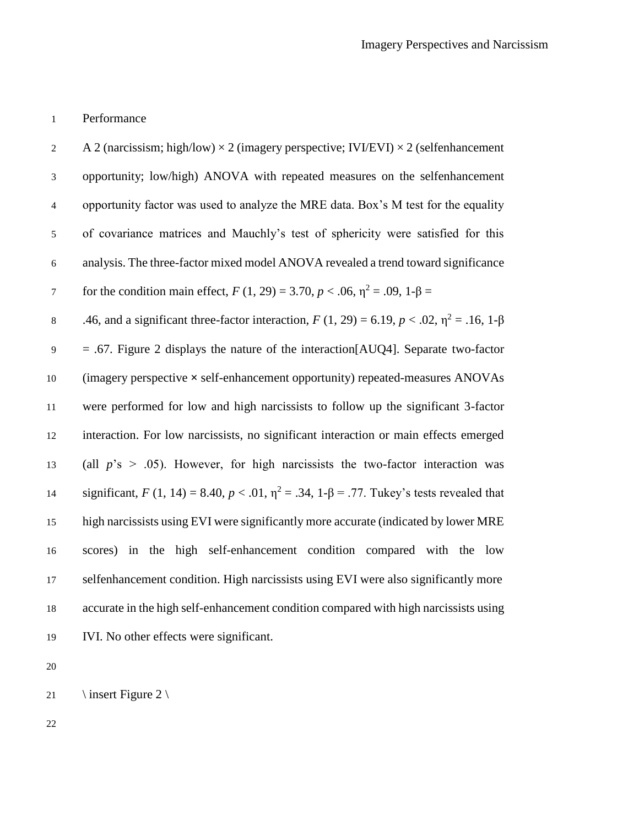### Performance

2 A 2 (narcissism; high/low)  $\times$  2 (imagery perspective; IVI/EVI)  $\times$  2 (selfenhancement opportunity; low/high) ANOVA with repeated measures on the selfenhancement opportunity factor was used to analyze the MRE data. Box's M test for the equality of covariance matrices and Mauchly's test of sphericity were satisfied for this analysis. The three-factor mixed model ANOVA revealed a trend toward significance for the condition main effect,  $F(1, 29) = 3.70, p < .06, \eta^2 = .09, 1-\beta = 0$ 8 .46, and a significant three-factor interaction,  $F(1, 29) = 6.19$ ,  $p < .02$ ,  $η<sup>2</sup> = .16$ ,  $1-β$  = .67. Figure 2 displays the nature of the interaction[AUQ4]. Separate two-factor (imagery perspective **×** self-enhancement opportunity) repeated-measures ANOVAs were performed for low and high narcissists to follow up the significant 3-factor interaction. For low narcissists, no significant interaction or main effects emerged (all *p*'s > .05). However, for high narcissists the two-factor interaction was 14 significant, *F* (1, 14) = 8.40, *p* < .01,  $η^2$  = .34, 1-β = .77. Tukey's tests revealed that high narcissists using EVI were significantly more accurate (indicated by lower MRE scores) in the high self-enhancement condition compared with the low selfenhancement condition. High narcissists using EVI were also significantly more accurate in the high self-enhancement condition compared with high narcissists using IVI. No other effects were significant.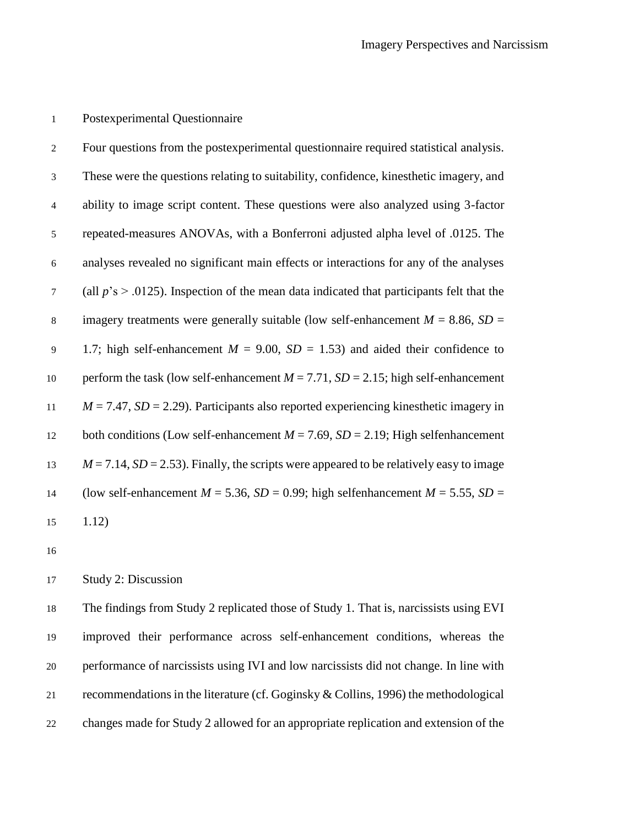## Postexperimental Questionnaire

| $\overline{2}$ | Four questions from the postexperimental questionnaire required statistical analysis.           |
|----------------|-------------------------------------------------------------------------------------------------|
| 3              | These were the questions relating to suitability, confidence, kines the time agery, and         |
| $\overline{4}$ | ability to image script content. These questions were also analyzed using 3-factor              |
| 5              | repeated-measures ANOVAs, with a Bonferroni adjusted alpha level of .0125. The                  |
| 6              | analyses revealed no significant main effects or interactions for any of the analyses           |
| $\tau$         | (all $p$ 's $> 0.0125$ ). Inspection of the mean data indicated that participants felt that the |
| $\,8\,$        | imagery treatments were generally suitable (low self-enhancement $M = 8.86$ , $SD =$            |
| 9              | 1.7; high self-enhancement $M = 9.00$ , $SD = 1.53$ ) and aided their confidence to             |
| 10             | perform the task (low self-enhancement $M = 7.71$ , $SD = 2.15$ ; high self-enhancement         |
| 11             | $M = 7.47$ , $SD = 2.29$ ). Participants also reported experiencing kinesthetic imagery in      |
| 12             | both conditions (Low self-enhancement $M = 7.69$ , $SD = 2.19$ ; High selfenhancement           |
| 13             | $M = 7.14$ , $SD = 2.53$ ). Finally, the scripts were appeared to be relatively easy to image   |
| 14             | (low self-enhancement $M = 5.36$ , $SD = 0.99$ ; high selfenhancement $M = 5.55$ , $SD =$       |
| 15             | 1.12)                                                                                           |

## Study 2: Discussion

 The findings from Study 2 replicated those of Study 1. That is, narcissists using EVI improved their performance across self-enhancement conditions, whereas the performance of narcissists using IVI and low narcissists did not change. In line with recommendations in the literature (cf. Goginsky & Collins, 1996) the methodological changes made for Study 2 allowed for an appropriate replication and extension of the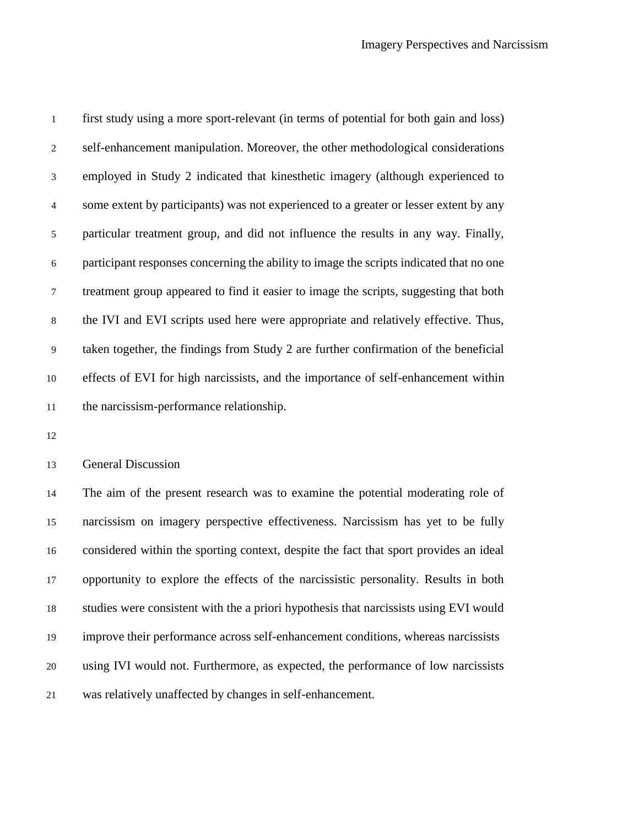first study using a more sport-relevant (in terms of potential for both gain and loss) self-enhancement manipulation. Moreover, the other methodological considerations employed in Study 2 indicated that kinesthetic imagery (although experienced to some extent by participants) was not experienced to a greater or lesser extent by any particular treatment group, and did not influence the results in any way. Finally, participant responses concerning the ability to image the scripts indicated that no one treatment group appeared to find it easier to image the scripts, suggesting that both the IVI and EVI scripts used here were appropriate and relatively effective. Thus, taken together, the findings from Study 2 are further confirmation of the beneficial effects of EVI for high narcissists, and the importance of self-enhancement within the narcissism-performance relationship.

General Discussion

 The aim of the present research was to examine the potential moderating role of narcissism on imagery perspective effectiveness. Narcissism has yet to be fully considered within the sporting context, despite the fact that sport provides an ideal opportunity to explore the effects of the narcissistic personality. Results in both studies were consistent with the a priori hypothesis that narcissists using EVI would improve their performance across self-enhancement conditions, whereas narcissists using IVI would not. Furthermore, as expected, the performance of low narcissists was relatively unaffected by changes in self-enhancement.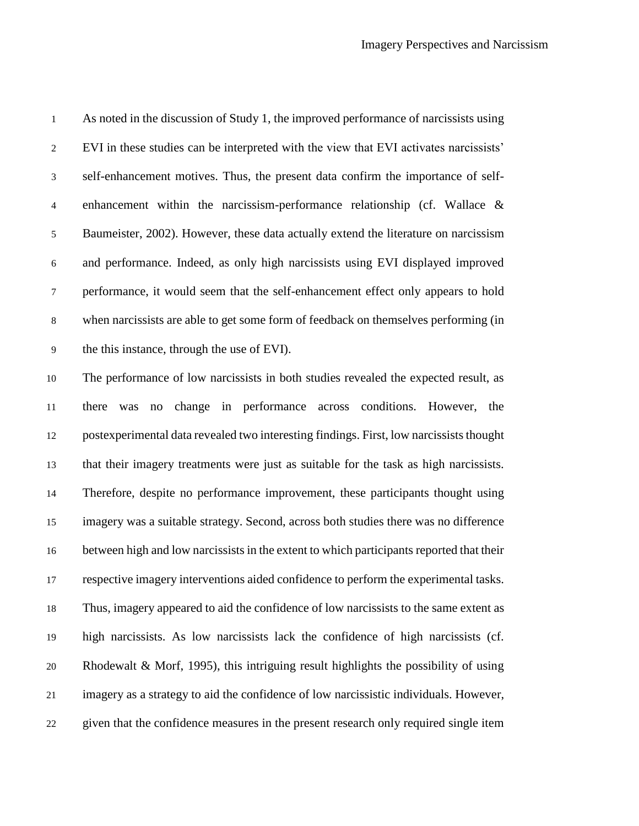| $\mathbf{1}$   | As noted in the discussion of Study 1, the improved performance of narcissists using     |
|----------------|------------------------------------------------------------------------------------------|
| $\overline{c}$ | EVI in these studies can be interpreted with the view that EVI activates narcissists'    |
| $\mathfrak{Z}$ | self-enhancement motives. Thus, the present data confirm the importance of self-         |
| $\overline{4}$ | enhancement within the narcissism-performance relationship (cf. Wallace $\&$             |
| 5              | Baumeister, 2002). However, these data actually extend the literature on narcissism      |
| $\sqrt{6}$     | and performance. Indeed, as only high narcissists using EVI displayed improved           |
| $\tau$         | performance, it would seem that the self-enhancement effect only appears to hold         |
| $\,8\,$        | when narcissists are able to get some form of feedback on themselves performing (in      |
| 9              | the this instance, through the use of EVI).                                              |
| $10\,$         | The performance of low narcissists in both studies revealed the expected result, as      |
| $11\,$         | change in performance across conditions. However, the<br>there<br>was<br>no              |
| 12             | postexperimental data revealed two interesting findings. First, low narcissists thought  |
| 13             | that their imagery treatments were just as suitable for the task as high narcissists.    |
|                |                                                                                          |
| 14             | Therefore, despite no performance improvement, these participants thought using          |
| 15             | imagery was a suitable strategy. Second, across both studies there was no difference     |
| 16             | between high and low narcissists in the extent to which participants reported that their |
| 17             | respective imagery interventions aided confidence to perform the experimental tasks.     |
| 18             | Thus, imagery appeared to aid the confidence of low narcissists to the same extent as    |
| 19             | high narcissists. As low narcissists lack the confidence of high narcissists (cf.        |
| $20\,$         | Rhodewalt & Morf, 1995), this intriguing result highlights the possibility of using      |

given that the confidence measures in the present research only required single item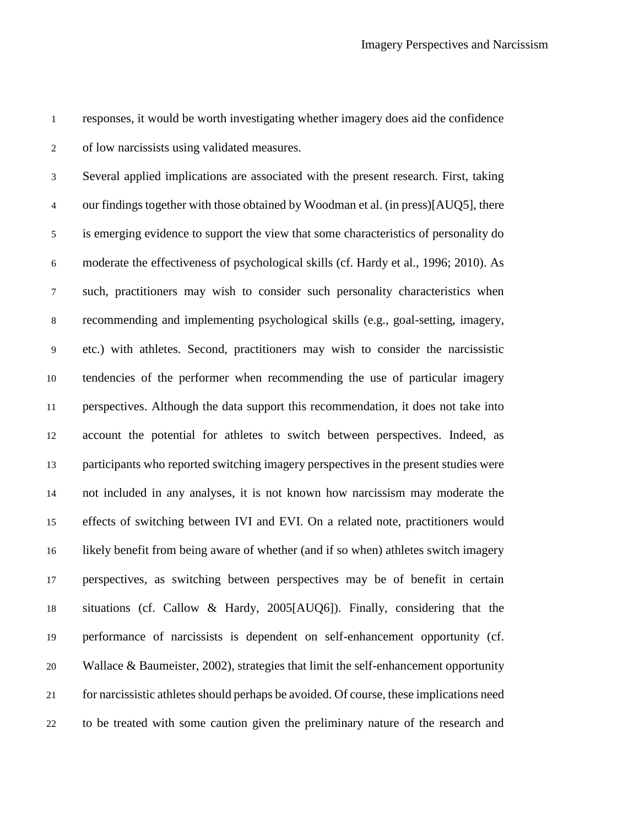responses, it would be worth investigating whether imagery does aid the confidence of low narcissists using validated measures.

 Several applied implications are associated with the present research. First, taking our findings together with those obtained by Woodman et al. (in press)[AUQ5], there is emerging evidence to support the view that some characteristics of personality do moderate the effectiveness of psychological skills (cf. Hardy et al., 1996; 2010). As such, practitioners may wish to consider such personality characteristics when recommending and implementing psychological skills (e.g., goal-setting, imagery, etc.) with athletes. Second, practitioners may wish to consider the narcissistic tendencies of the performer when recommending the use of particular imagery perspectives. Although the data support this recommendation, it does not take into account the potential for athletes to switch between perspectives. Indeed, as participants who reported switching imagery perspectives in the present studies were not included in any analyses, it is not known how narcissism may moderate the effects of switching between IVI and EVI. On a related note, practitioners would likely benefit from being aware of whether (and if so when) athletes switch imagery perspectives, as switching between perspectives may be of benefit in certain situations (cf. Callow & Hardy, 2005[AUQ6]). Finally, considering that the performance of narcissists is dependent on self-enhancement opportunity (cf. Wallace & Baumeister, 2002), strategies that limit the self-enhancement opportunity for narcissistic athletes should perhaps be avoided. Of course, these implications need to be treated with some caution given the preliminary nature of the research and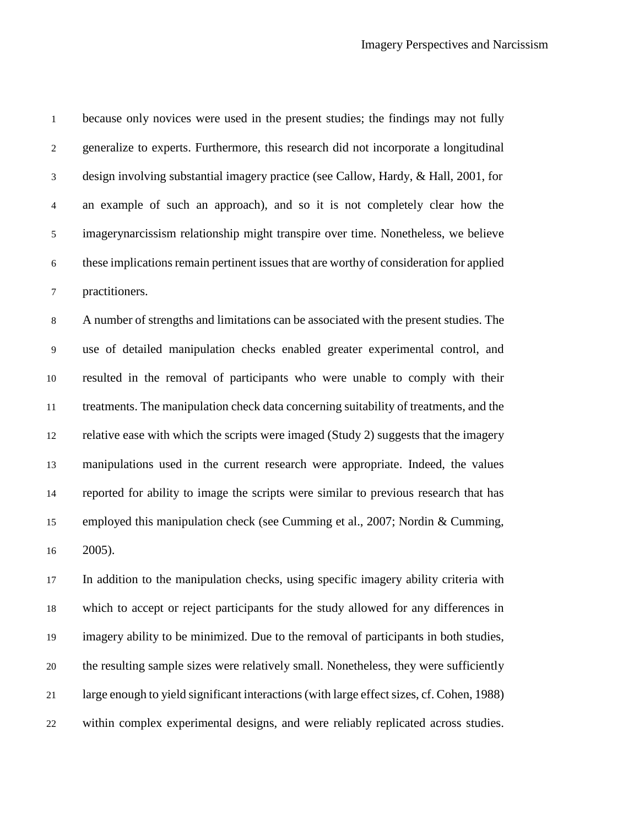because only novices were used in the present studies; the findings may not fully generalize to experts. Furthermore, this research did not incorporate a longitudinal design involving substantial imagery practice (see Callow, Hardy, & Hall, 2001, for an example of such an approach), and so it is not completely clear how the imagerynarcissism relationship might transpire over time. Nonetheless, we believe these implications remain pertinent issues that are worthy of consideration for applied practitioners. A number of strengths and limitations can be associated with the present studies. The

 use of detailed manipulation checks enabled greater experimental control, and resulted in the removal of participants who were unable to comply with their treatments. The manipulation check data concerning suitability of treatments, and the relative ease with which the scripts were imaged (Study 2) suggests that the imagery manipulations used in the current research were appropriate. Indeed, the values reported for ability to image the scripts were similar to previous research that has employed this manipulation check (see Cumming et al., 2007; Nordin & Cumming, 2005).

 In addition to the manipulation checks, using specific imagery ability criteria with which to accept or reject participants for the study allowed for any differences in imagery ability to be minimized. Due to the removal of participants in both studies, the resulting sample sizes were relatively small. Nonetheless, they were sufficiently large enough to yield significant interactions (with large effect sizes, cf. Cohen, 1988) within complex experimental designs, and were reliably replicated across studies.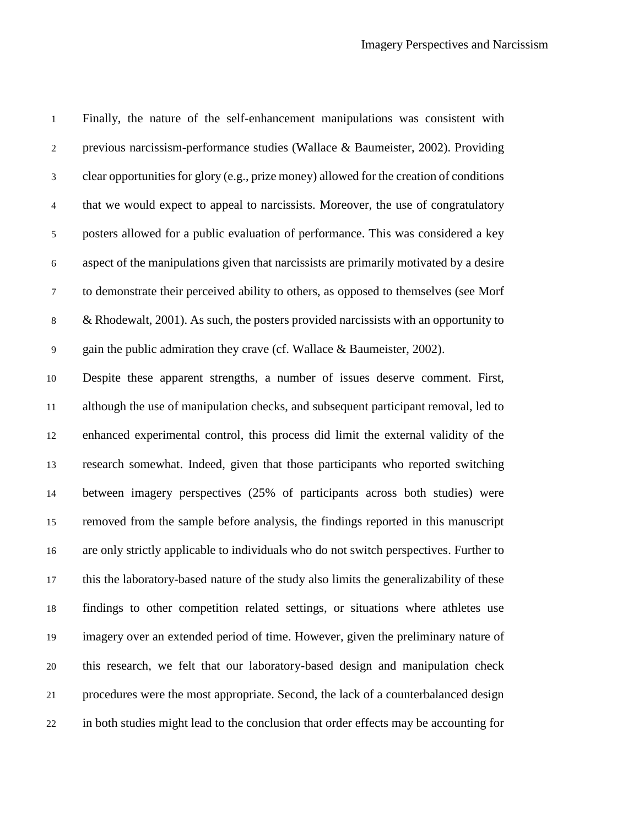| $\mathbf{1}$     | Finally, the nature of the self-enhancement manipulations was consistent with            |
|------------------|------------------------------------------------------------------------------------------|
| $\boldsymbol{2}$ | previous narcissism-performance studies (Wallace & Baumeister, 2002). Providing          |
| $\mathfrak{Z}$   | clear opportunities for glory (e.g., prize money) allowed for the creation of conditions |
| $\overline{4}$   | that we would expect to appeal to narcissists. Moreover, the use of congratulatory       |
| $\mathfrak s$    | posters allowed for a public evaluation of performance. This was considered a key        |
| $\sqrt{6}$       | aspect of the manipulations given that narcissists are primarily motivated by a desire   |
| $\tau$           | to demonstrate their perceived ability to others, as opposed to themselves (see Morf     |
| $\,$ 8 $\,$      | & Rhodewalt, $2001$ ). As such, the posters provided narcissists with an opportunity to  |
| $\overline{9}$   | gain the public admiration they crave (cf. Wallace & Baumeister, 2002).                  |
| 10               | Despite these apparent strengths, a number of issues deserve comment. First,             |
| 11               | although the use of manipulation checks, and subsequent participant removal, led to      |
| 12               | enhanced experimental control, this process did limit the external validity of the       |
| 13               | research somewhat. Indeed, given that those participants who reported switching          |
| 14               | between imagery perspectives (25% of participants across both studies) were              |
| 15               | removed from the sample before analysis, the findings reported in this manuscript        |
| 16               | are only strictly applicable to individuals who do not switch perspectives. Further to   |
| 17               | this the laboratory-based nature of the study also limits the generalizability of these  |
| 18               | findings to other competition related settings, or situations where athletes use         |
| 19               | imagery over an extended period of time. However, given the preliminary nature of        |
| $20\,$           | this research, we felt that our laboratory-based design and manipulation check           |
| 21               | procedures were the most appropriate. Second, the lack of a counterbalanced design       |
| 22               | in both studies might lead to the conclusion that order effects may be accounting for    |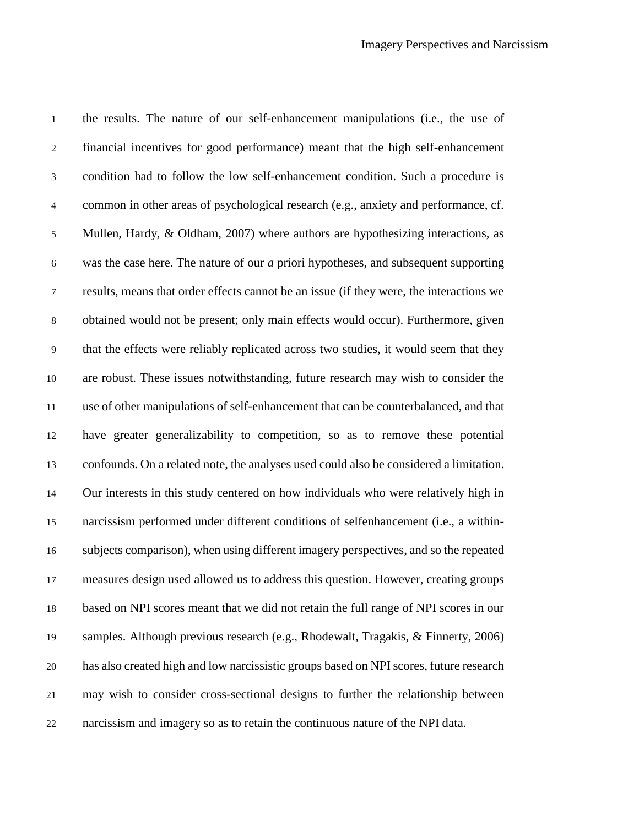the results. The nature of our self-enhancement manipulations (i.e., the use of financial incentives for good performance) meant that the high self-enhancement condition had to follow the low self-enhancement condition. Such a procedure is common in other areas of psychological research (e.g., anxiety and performance, cf. Mullen, Hardy, & Oldham, 2007) where authors are hypothesizing interactions, as was the case here. The nature of our *a* priori hypotheses, and subsequent supporting results, means that order effects cannot be an issue (if they were, the interactions we obtained would not be present; only main effects would occur). Furthermore, given that the effects were reliably replicated across two studies, it would seem that they are robust. These issues notwithstanding, future research may wish to consider the use of other manipulations of self-enhancement that can be counterbalanced, and that have greater generalizability to competition, so as to remove these potential confounds. On a related note, the analyses used could also be considered a limitation. Our interests in this study centered on how individuals who were relatively high in narcissism performed under different conditions of selfenhancement (i.e., a within- subjects comparison), when using different imagery perspectives, and so the repeated measures design used allowed us to address this question. However, creating groups based on NPI scores meant that we did not retain the full range of NPI scores in our samples. Although previous research (e.g., Rhodewalt, Tragakis, & Finnerty, 2006) has also created high and low narcissistic groups based on NPI scores, future research may wish to consider cross-sectional designs to further the relationship between narcissism and imagery so as to retain the continuous nature of the NPI data.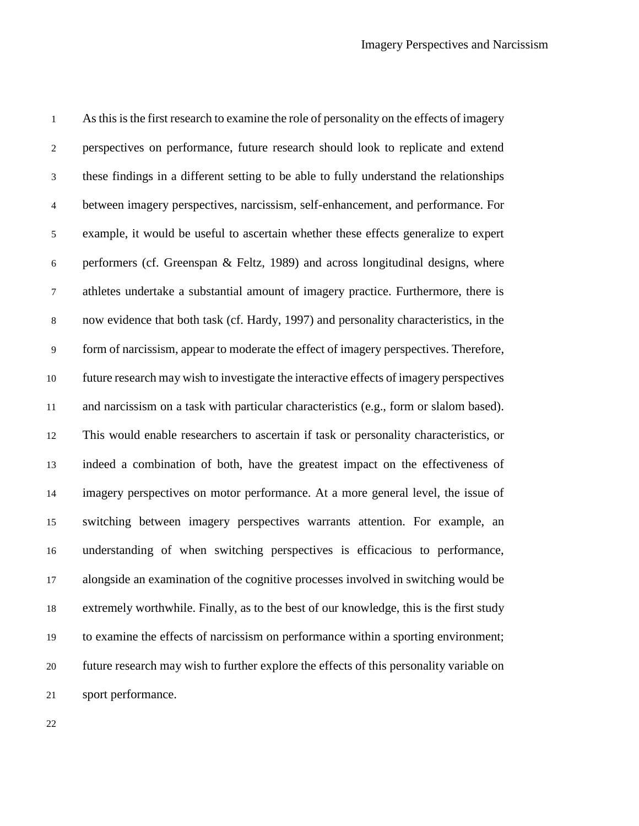As this is the first research to examine the role of personality on the effects of imagery perspectives on performance, future research should look to replicate and extend these findings in a different setting to be able to fully understand the relationships between imagery perspectives, narcissism, self-enhancement, and performance. For example, it would be useful to ascertain whether these effects generalize to expert 6 performers (cf. Greenspan  $\&$  Feltz, 1989) and across longitudinal designs, where athletes undertake a substantial amount of imagery practice. Furthermore, there is now evidence that both task (cf. Hardy, 1997) and personality characteristics, in the form of narcissism, appear to moderate the effect of imagery perspectives. Therefore, future research may wish to investigate the interactive effects of imagery perspectives and narcissism on a task with particular characteristics (e.g., form or slalom based). This would enable researchers to ascertain if task or personality characteristics, or indeed a combination of both, have the greatest impact on the effectiveness of imagery perspectives on motor performance. At a more general level, the issue of switching between imagery perspectives warrants attention. For example, an understanding of when switching perspectives is efficacious to performance, alongside an examination of the cognitive processes involved in switching would be extremely worthwhile. Finally, as to the best of our knowledge, this is the first study to examine the effects of narcissism on performance within a sporting environment; future research may wish to further explore the effects of this personality variable on sport performance.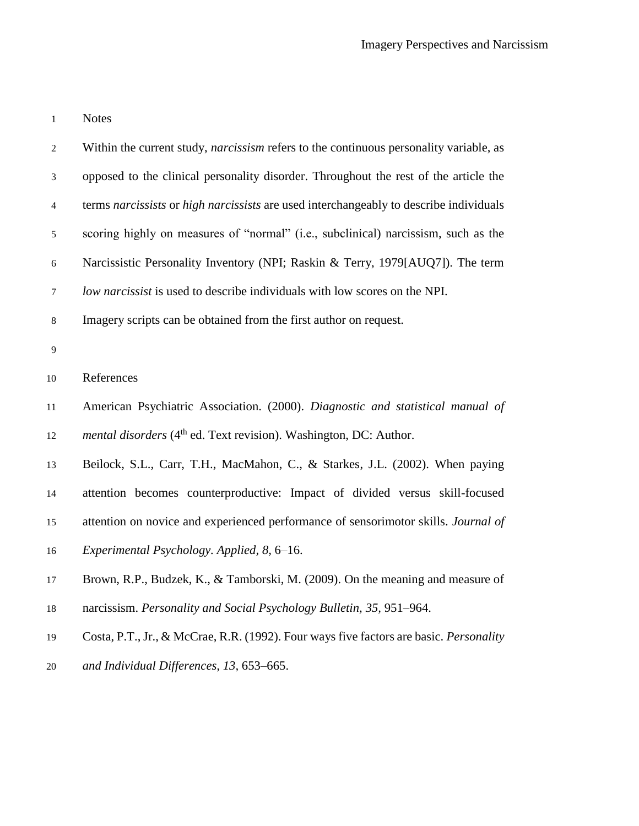Notes

| $\overline{c}$ | Within the current study, narcissism refers to the continuous personality variable, as        |
|----------------|-----------------------------------------------------------------------------------------------|
| 3              | opposed to the clinical personality disorder. Throughout the rest of the article the          |
| $\overline{4}$ | terms narcissists or high narcissists are used interchangeably to describe individuals        |
| $\mathfrak{S}$ | scoring highly on measures of "normal" (i.e., subclinical) narcissism, such as the            |
| $\sqrt{6}$     | Narcissistic Personality Inventory (NPI; Raskin & Terry, 1979[AUQ7]). The term                |
| $\tau$         | low narcissist is used to describe individuals with low scores on the NPI.                    |
| $8\,$          | Imagery scripts can be obtained from the first author on request.                             |
| $\mathbf{9}$   |                                                                                               |
| $10\,$         | References                                                                                    |
| 11             | American Psychiatric Association. (2000). Diagnostic and statistical manual of                |
| 12             | <i>mental disorders</i> (4 <sup>th</sup> ed. Text revision). Washington, DC: Author.          |
| 13             | Beilock, S.L., Carr, T.H., MacMahon, C., & Starkes, J.L. (2002). When paying                  |
| 14             | attention becomes counterproductive: Impact of divided versus skill-focused                   |
| 15             | attention on novice and experienced performance of sensorimotor skills. Journal of            |
| 16             | Experimental Psychology. Applied, 8, 6–16.                                                    |
| 17             | Brown, R.P., Budzek, K., & Tamborski, M. (2009). On the meaning and measure of                |
| $18\,$         | narcissism. Personality and Social Psychology Bulletin, 35, 951–964.                          |
| 19             | Costa, P.T., Jr., & McCrae, R.R. (1992). Four ways five factors are basic. <i>Personality</i> |
| 20             | and Individual Differences, 13, 653-665.                                                      |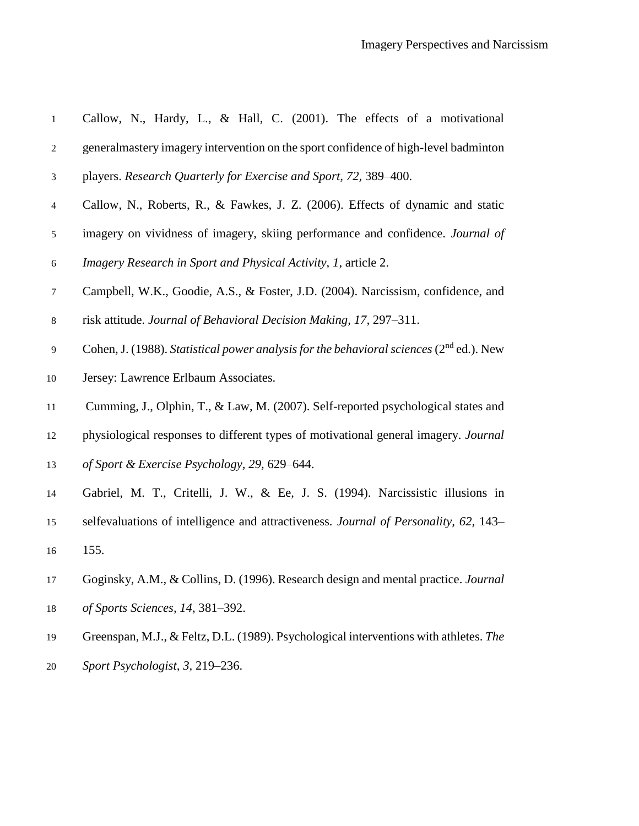| $1\,$          | Callow, N., Hardy, L., & Hall, C. (2001). The effects of a motivational                    |
|----------------|--------------------------------------------------------------------------------------------|
| $\sqrt{2}$     | generalmastery imagery intervention on the sport confidence of high-level badminton        |
| 3              | players. Research Quarterly for Exercise and Sport, 72, 389–400.                           |
| $\overline{4}$ | Callow, N., Roberts, R., & Fawkes, J. Z. (2006). Effects of dynamic and static             |
| $\sqrt{5}$     | imagery on vividness of imagery, skiing performance and confidence. Journal of             |
| 6              | Imagery Research in Sport and Physical Activity, 1, article 2.                             |
| $\tau$         | Campbell, W.K., Goodie, A.S., & Foster, J.D. (2004). Narcissism, confidence, and           |
| $\,8\,$        | risk attitude. Journal of Behavioral Decision Making, 17, 297–311.                         |
| $\overline{9}$ | Cohen, J. (1988). Statistical power analysis for the behavioral sciences ( $2nd$ ed.). New |
| 10             | Jersey: Lawrence Erlbaum Associates.                                                       |
| 11             | Cumming, J., Olphin, T., & Law, M. (2007). Self-reported psychological states and          |
| 12             | physiological responses to different types of motivational general imagery. Journal        |
| 13             | of Sport & Exercise Psychology, 29, 629–644.                                               |
| 14             | Gabriel, M. T., Critelli, J. W., & Ee, J. S. (1994). Narcissistic illusions in             |
| 15             | selfevaluations of intelligence and attractiveness. Journal of Personality, 62, 143–       |
| 16             | 155.                                                                                       |
| 17             | Goginsky, A.M., & Collins, D. (1996). Research design and mental practice. Journal         |
| 18             | of Sports Sciences, 14, 381-392.                                                           |
| 19             | Greenspan, M.J., & Feltz, D.L. (1989). Psychological interventions with athletes. The      |
| $20\,$         | Sport Psychologist, 3, 219–236.                                                            |
|                |                                                                                            |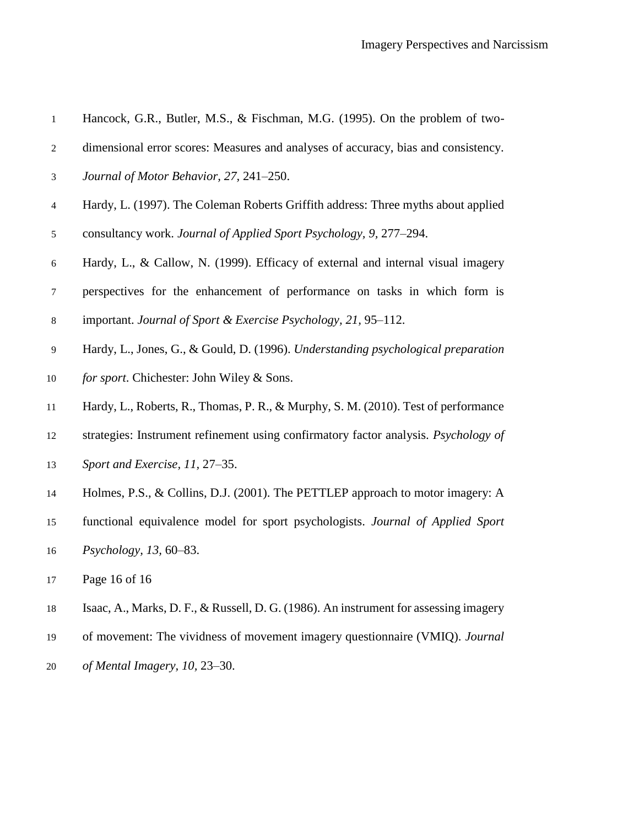| $\,1\,$        | Hancock, G.R., Butler, M.S., & Fischman, M.G. (1995). On the problem of two-          |
|----------------|---------------------------------------------------------------------------------------|
| $\overline{c}$ | dimensional error scores: Measures and analyses of accuracy, bias and consistency.    |
| 3              | Journal of Motor Behavior, 27, 241-250.                                               |
| $\overline{4}$ | Hardy, L. (1997). The Coleman Roberts Griffith address: Three myths about applied     |
| 5              | consultancy work. Journal of Applied Sport Psychology, 9, 277–294.                    |
| 6              | Hardy, L., & Callow, N. (1999). Efficacy of external and internal visual imagery      |
| $\tau$         | perspectives for the enhancement of performance on tasks in which form is             |
| $8\,$          | important. Journal of Sport & Exercise Psychology, 21, 95-112.                        |
| $\mathbf{9}$   | Hardy, L., Jones, G., & Gould, D. (1996). Understanding psychological preparation     |
| 10             | for sport. Chichester: John Wiley & Sons.                                             |
| $11\,$         | Hardy, L., Roberts, R., Thomas, P. R., & Murphy, S. M. (2010). Test of performance    |
| 12             | strategies: Instrument refinement using confirmatory factor analysis. Psychology of   |
| 13             | Sport and Exercise, 11, 27–35.                                                        |
| 14             | Holmes, P.S., & Collins, D.J. (2001). The PETTLEP approach to motor imagery: A        |
| 15             | functional equivalence model for sport psychologists. Journal of Applied Sport        |
| 16             | <i>Psychology</i> , 13, 60–83.                                                        |
| 17             | Page 16 of 16                                                                         |
| 18             | Isaac, A., Marks, D. F., & Russell, D. G. (1986). An instrument for assessing imagery |
| 19             | of movement: The vividness of movement imagery questionnaire (VMIQ). Journal          |
| 20             | of Mental Imagery, 10, 23-30.                                                         |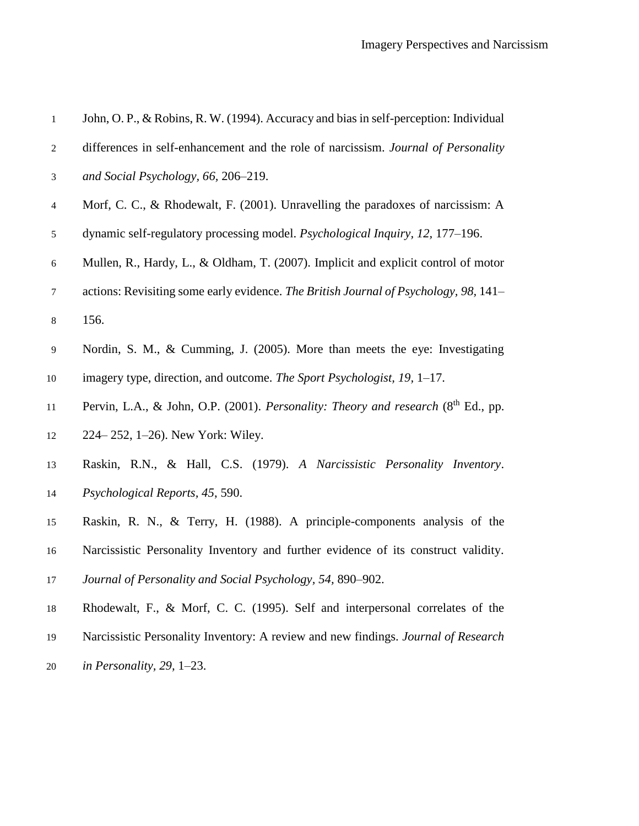| $\mathbf{1}$             | John, O. P., & Robins, R. W. (1994). Accuracy and bias in self-perception: Individual |
|--------------------------|---------------------------------------------------------------------------------------|
| 2                        | differences in self-enhancement and the role of narcissism. Journal of Personality    |
| 3                        | and Social Psychology, 66, 206-219.                                                   |
| $\overline{\mathcal{A}}$ | Morf, C. C., & Rhodewalt, F. (2001). Unravelling the paradoxes of narcissism: A       |
| 5                        | dynamic self-regulatory processing model. Psychological Inquiry, 12, 177–196.         |
| 6                        | Mullen, R., Hardy, L., & Oldham, T. (2007). Implicit and explicit control of motor    |
| 7                        | actions: Revisiting some early evidence. The British Journal of Psychology, 98, 141–  |
| $\,8\,$                  | 156.                                                                                  |
| 9                        | Nordin, S. M., & Cumming, J. (2005). More than meets the eye: Investigating           |
| $10\,$                   | imagery type, direction, and outcome. The Sport Psychologist, 19, 1–17.               |
| 11                       | Pervin, L.A., & John, O.P. (2001). Personality: Theory and research $(8th Ed., pp.$   |
| 12                       | 224–252, 1–26). New York: Wiley.                                                      |
| 13                       | Raskin, R.N., & Hall, C.S. (1979). A Narcissistic Personality Inventory.              |
| 14                       | Psychological Reports, 45, 590.                                                       |
| 15                       | Raskin, R. N., & Terry, H. (1988). A principle-components analysis of the             |
| 16                       | Narcissistic Personality Inventory and further evidence of its construct validity.    |
| 17                       | Journal of Personality and Social Psychology, 54, 890–902.                            |
| 18                       | Rhodewalt, F., & Morf, C. C. (1995). Self and interpersonal correlates of the         |
| 19                       | Narcissistic Personality Inventory: A review and new findings. Journal of Research    |
|                          |                                                                                       |

*in Personality, 29,* 1–23.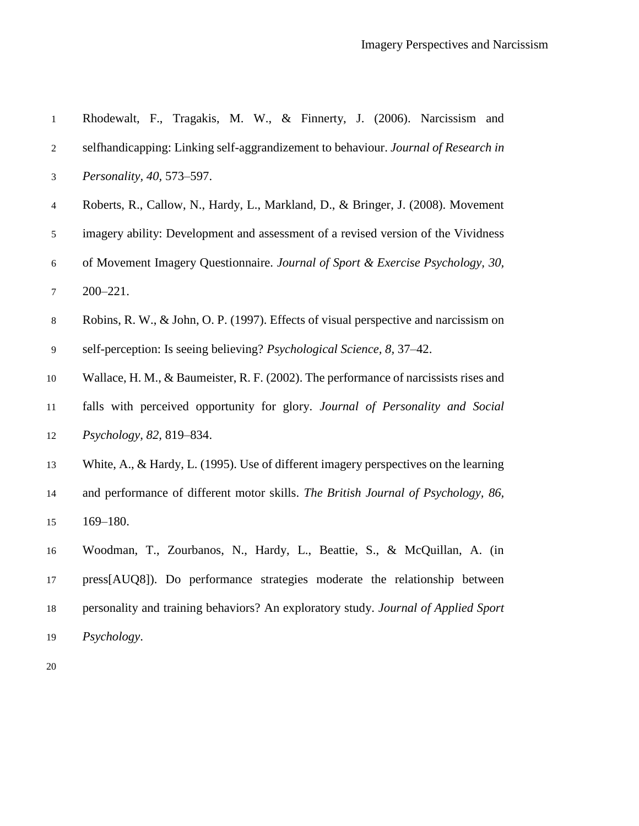| $\,1\,$          | Rhodewalt, F., Tragakis, M. W., & Finnerty, J. (2006). Narcissism and                |
|------------------|--------------------------------------------------------------------------------------|
| 2                | selfhandicapping: Linking self-aggrandizement to behaviour. Journal of Research in   |
| 3                | Personality, 40, 573-597.                                                            |
| $\overline{4}$   | Roberts, R., Callow, N., Hardy, L., Markland, D., & Bringer, J. (2008). Movement     |
| 5                | imagery ability: Development and assessment of a revised version of the Vividness    |
| 6                | of Movement Imagery Questionnaire. Journal of Sport & Exercise Psychology, 30,       |
| $\boldsymbol{7}$ | $200 - 221.$                                                                         |
| $8\,$            | Robins, R. W., & John, O. P. (1997). Effects of visual perspective and narcissism on |
| $\overline{9}$   | self-perception: Is seeing believing? Psychological Science, 8, 37–42.               |
| 10               | Wallace, H. M., & Baumeister, R. F. (2002). The performance of narcissists rises and |
| 11               | falls with perceived opportunity for glory. Journal of Personality and Social        |
| 12               | Psychology, 82, 819-834.                                                             |
| 13               | White, A., & Hardy, L. (1995). Use of different imagery perspectives on the learning |
| 14               | and performance of different motor skills. The British Journal of Psychology, 86,    |
| 15               | $169 - 180.$                                                                         |
| 16               | Woodman, T., Zourbanos, N., Hardy, L., Beattie, S., & McQuillan, A. (in              |
| 17               | press[AUQ8]). Do performance strategies moderate the relationship between            |
| 18               | personality and training behaviors? An exploratory study. Journal of Applied Sport   |
| 19               | Psychology.                                                                          |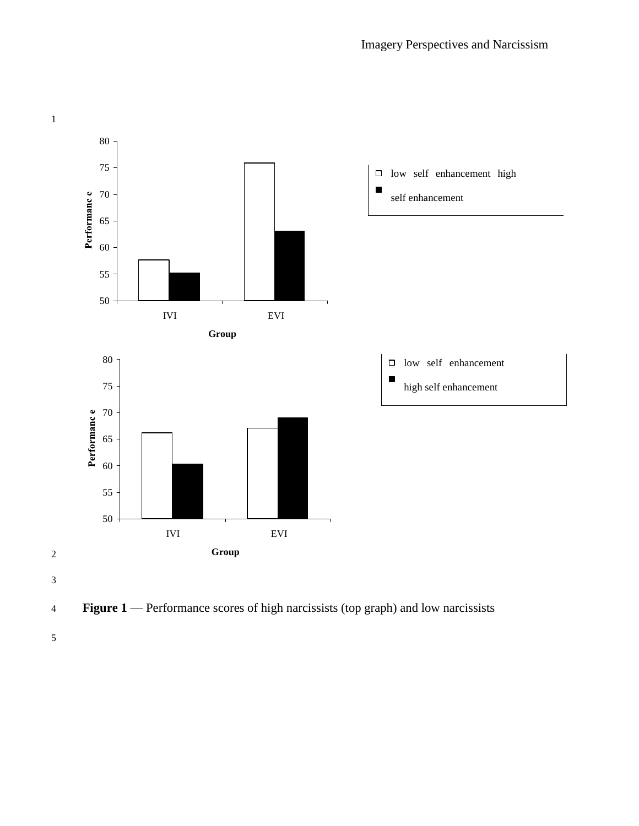